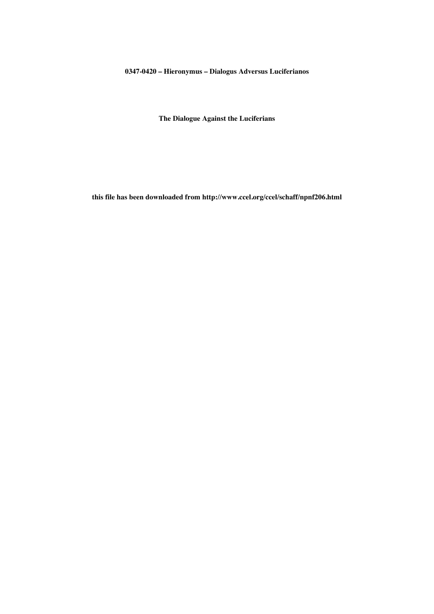## **0347-0420 – Hieronymus – Dialogus Adversus Luciferianos**

**The Dialogue Against the Luciferians**

**this file has been downloaded from http://www.ccel.org/ccel/schaff/npnf206.html**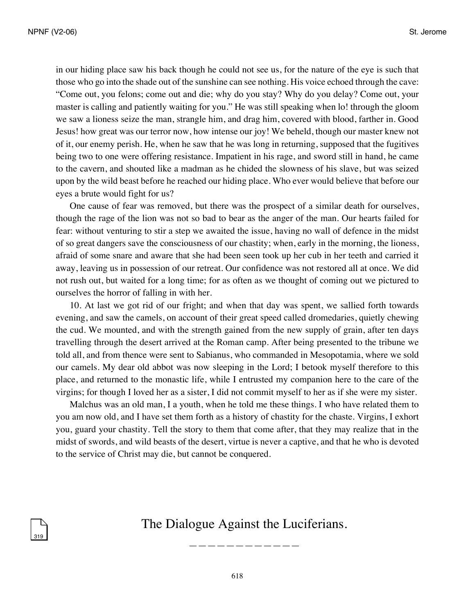in our hiding place saw his back though he could not see us, for the nature of the eye is such that those who go into the shade out of the sunshine can see nothing. His voice echoed through the cave: "Come out, you felons; come out and die; why do you stay? Why do you delay? Come out, your master is calling and patiently waiting for you." He was still speaking when lo! through the gloom we saw a lioness seize the man, strangle him, and drag him, covered with blood, farther in. Good Jesus! how great was our terror now, how intense our joy! We beheld, though our master knew not of it, our enemy perish. He, when he saw that he was long in returning, supposed that the fugitives being two to one were offering resistance. Impatient in his rage, and sword still in hand, he came to the cavern, and shouted like a madman as he chided the slowness of his slave, but was seized upon by the wild beast before he reached our hiding place. Who ever would believe that before our eyes a brute would fight for us?

One cause of fear was removed, but there was the prospect of a similar death for ourselves, though the rage of the lion was not so bad to bear as the anger of the man. Our hearts failed for fear: without venturing to stir a step we awaited the issue, having no wall of defence in the midst of so great dangers save the consciousness of our chastity; when, early in the morning, the lioness, afraid of some snare and aware that she had been seen took up her cub in her teeth and carried it away, leaving us in possession of our retreat. Our confidence was not restored all at once. We did not rush out, but waited for a long time; for as often as we thought of coming out we pictured to ourselves the horror of falling in with her.

10. At last we got rid of our fright; and when that day was spent, we sallied forth towards evening, and saw the camels, on account of their great speed called dromedaries, quietly chewing the cud. We mounted, and with the strength gained from the new supply of grain, after ten days travelling through the desert arrived at the Roman camp. After being presented to the tribune we told all, and from thence were sent to Sabianus, who commanded in Mesopotamia, where we sold our camels. My dear old abbot was now sleeping in the Lord; I betook myself therefore to this place, and returned to the monastic life, while I entrusted my companion here to the care of the virgins; for though I loved her as a sister, I did not commit myself to her as if she were my sister.

Malchus was an old man, I a youth, when he told me these things. I who have related them to you am now old, and I have set them forth as a history of chastity for the chaste. Virgins, I exhort you, guard your chastity. Tell the story to them that come after, that they may realize that in the midst of swords, and wild beasts of the desert, virtue is never a captive, and that he who is devoted to the service of Christ may die, but cannot be conquered.

## The Dialogue Against the Luciferians.

————————————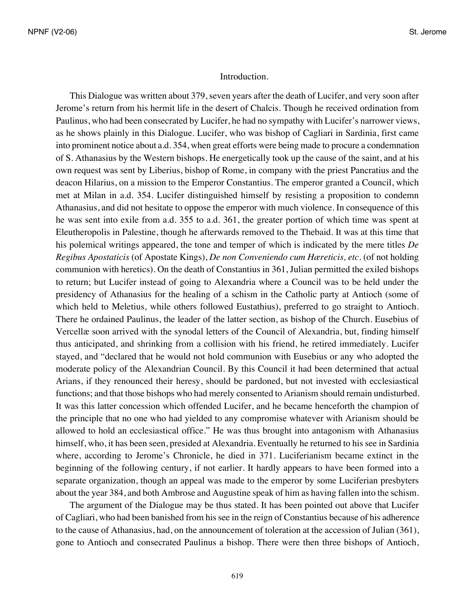## Introduction.

This Dialogue was written about 379, seven years after the death of Lucifer, and very soon after Jerome's return from his hermit life in the desert of Chalcis. Though he received ordination from Paulinus, who had been consecrated by Lucifer, he had no sympathy with Lucifer's narrower views, as he shows plainly in this Dialogue. Lucifer, who was bishop of Cagliari in Sardinia, first came into prominent notice about a.d. 354, when great efforts were being made to procure a condemnation of S. Athanasius by the Western bishops. He energetically took up the cause of the saint, and at his own request was sent by Liberius, bishop of Rome, in company with the priest Pancratius and the deacon Hilarius, on a mission to the Emperor Constantius. The emperor granted a Council, which met at Milan in a.d. 354. Lucifer distinguished himself by resisting a proposition to condemn Athanasius, and did not hesitate to oppose the emperor with much violence. In consequence of this he was sent into exile from a.d. 355 to a.d. 361, the greater portion of which time was spent at Eleutheropolis in Palestine, though he afterwards removed to the Thebaid. It was at this time that his polemical writings appeared, the tone and temper of which is indicated by the mere titles *De Regibus Apostaticis* (of Apostate Kings), *De non Conveniendo cum Hæreticis, etc*. (of not holding communion with heretics). On the death of Constantius in 361, Julian permitted the exiled bishops to return; but Lucifer instead of going to Alexandria where a Council was to be held under the presidency of Athanasius for the healing of a schism in the Catholic party at Antioch (some of which held to Meletius, while others followed Eustathius), preferred to go straight to Antioch. There he ordained Paulinus, the leader of the latter section, as bishop of the Church. Eusebius of Vercellæ soon arrived with the synodal letters of the Council of Alexandria, but, finding himself thus anticipated, and shrinking from a collision with his friend, he retired immediately. Lucifer stayed, and "declared that he would not hold communion with Eusebius or any who adopted the moderate policy of the Alexandrian Council. By this Council it had been determined that actual Arians, if they renounced their heresy, should be pardoned, but not invested with ecclesiastical functions; and that those bishops who had merely consented to Arianism should remain undisturbed. It was this latter concession which offended Lucifer, and he became henceforth the champion of the principle that no one who had yielded to any compromise whatever with Arianism should be allowed to hold an ecclesiastical office." He was thus brought into antagonism with Athanasius himself, who, it has been seen, presided at Alexandria. Eventually he returned to his see in Sardinia where, according to Jerome's Chronicle, he died in 371. Luciferianism became extinct in the beginning of the following century, if not earlier. It hardly appears to have been formed into a separate organization, though an appeal was made to the emperor by some Luciferian presbyters about the year 384, and both Ambrose and Augustine speak of him as having fallen into the schism.

The argument of the Dialogue may be thus stated. It has been pointed out above that Lucifer of Cagliari, who had been banished from his see in the reign of Constantius because of his adherence to the cause of Athanasius, had, on the announcement of toleration at the accession of Julian (361), gone to Antioch and consecrated Paulinus a bishop. There were then three bishops of Antioch,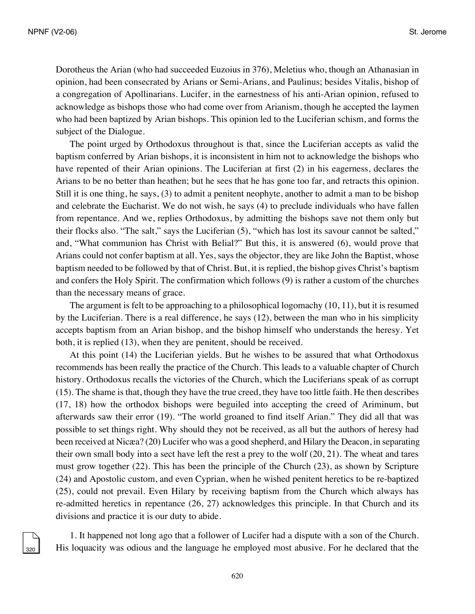Dorotheus the Arian (who had succeeded Euzoius in 376), Meletius who, though an Athanasian in opinion, had been consecrated by Arians or Semi-Arians, and Paulinus; besides Vitalis, bishop of a congregation of Apollinarians. Lucifer, in the earnestness of his anti-Arian opinion, refused to acknowledge as bishops those who had come over from Arianism, though he accepted the laymen who had been baptized by Arian bishops. This opinion led to the Luciferian schism, and forms the subject of the Dialogue.

The point urged by Orthodoxus throughout is that, since the Luciferian accepts as valid the baptism conferred by Arian bishops, it is inconsistent in him not to acknowledge the bishops who have repented of their Arian opinions. The Luciferian at first (2) in his eagerness, declares the Arians to be no better than heathen; but he sees that he has gone too far, and retracts this opinion. Still it is one thing, he says, (3) to admit a penitent neophyte, another to admit a man to be bishop and celebrate the Eucharist. We do not wish, he says (4) to preclude individuals who have fallen from repentance. And we, replies Orthodoxus, by admitting the bishops save not them only but their flocks also. "The salt," says the Luciferian (5), "which has lost its savour cannot be salted," and, "What communion has Christ with Belial?" But this, it is answered (6), would prove that Arians could not confer baptism at all. Yes, says the objector, they are like John the Baptist, whose baptism needed to be followed by that of Christ. But, it is replied, the bishop gives Christ's baptism and confers the Holy Spirit. The confirmation which follows (9) is rather a custom of the churches than the necessary means of grace.

The argument is felt to be approaching to a philosophical logomachy (10, 11), but it is resumed by the Luciferian. There is a real difference, he says (12), between the man who in his simplicity accepts baptism from an Arian bishop, and the bishop himself who understands the heresy. Yet both, it is replied (13), when they are penitent, should be received.

At this point (14) the Luciferian yields. But he wishes to be assured that what Orthodoxus recommends has been really the practice of the Church. This leads to a valuable chapter of Church history. Orthodoxus recalls the victories of the Church, which the Luciferians speak of as corrupt (15). The shame is that, though they have the true creed, they have too little faith. He then describes (17, 18) how the orthodox bishops were beguiled into accepting the creed of Ariminum, but afterwards saw their error (19). "The world groaned to find itself Arian." They did all that was possible to set things right. Why should they not be received, as all but the authors of heresy had been received at Nicæa? (20) Lucifer who was a good shepherd, and Hilary the Deacon, in separating their own small body into a sect have left the rest a prey to the wolf (20, 21). The wheat and tares must grow together (22). This has been the principle of the Church (23), as shown by Scripture (24) and Apostolic custom, and even Cyprian, when he wished penitent heretics to be re-baptized (25), could not prevail. Even Hilary by receiving baptism from the Church which always has re-admitted heretics in repentance (26, 27) acknowledges this principle. In that Church and its divisions and practice it is our duty to abide.

1. It happened not long ago that a follower of Lucifer had a dispute with a son of the Church. His loquacity was odious and the language he employed most abusive. For he declared that the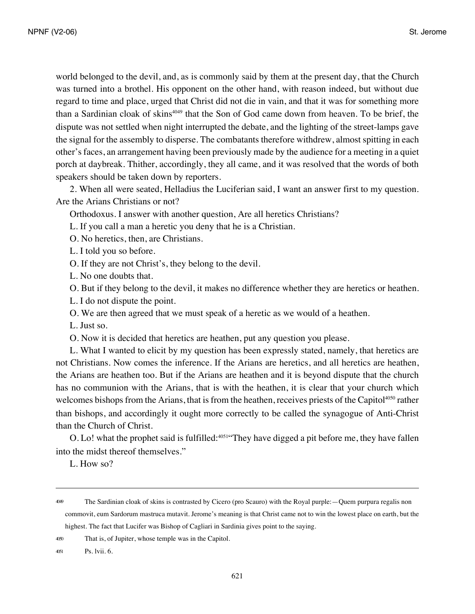world belonged to the devil, and, as is commonly said by them at the present day, that the Church was turned into a brothel. His opponent on the other hand, with reason indeed, but without due regard to time and place, urged that Christ did not die in vain, and that it was for something more than a Sardinian cloak of skins<sup>4049</sup> that the Son of God came down from heaven. To be brief, the dispute was not settled when night interrupted the debate, and the lighting of the street-lamps gave the signal for the assembly to disperse. The combatants therefore withdrew, almost spitting in each other's faces, an arrangement having been previously made by the audience for a meeting in a quiet porch at daybreak. Thither, accordingly, they all came, and it was resolved that the words of both speakers should be taken down by reporters.

2. When all were seated, Helladius the Luciferian said, I want an answer first to my question. Are the Arians Christians or not?

Orthodoxus. I answer with another question, Are all heretics Christians?

L. If you call a man a heretic you deny that he is a Christian.

O. No heretics, then, are Christians.

L. I told you so before.

O. If they are not Christ's, they belong to the devil.

L. No one doubts that.

O. But if they belong to the devil, it makes no difference whether they are heretics or heathen.

L. I do not dispute the point.

O. We are then agreed that we must speak of a heretic as we would of a heathen.

L. Just so.

O. Now it is decided that heretics are heathen, put any question you please.

L. What I wanted to elicit by my question has been expressly stated, namely, that heretics are not Christians. Now comes the inference. If the Arians are heretics, and all heretics are heathen, the Arians are heathen too. But if the Arians are heathen and it is beyond dispute that the church has no communion with the Arians, that is with the heathen, it is clear that your church which welcomes bishops from the Arians, that is from the heathen, receives priests of the Capitol<sup>4050</sup> rather than bishops, and accordingly it ought more correctly to be called the synagogue of Anti-Christ than the Church of Christ.

O. Lo! what the prophet said is fulfilled:<sup>4051</sup> They have digged a pit before me, they have fallen into the midst thereof themselves."

L. How so?

<sup>4051</sup> [Ps. lvii. 6](http://www.ccel.org/ccel/bible/asv.Ps.57.html#Ps.57.6).

<sup>4049</sup> The Sardinian cloak of skins is contrasted by Cicero (pro Scauro) with the Royal purple:—Quem purpura regalis non commovit, eum Sardorum mastruca mutavit. Jerome's meaning is that Christ came not to win the lowest place on earth, but the highest. The fact that Lucifer was Bishop of Cagliari in Sardinia gives point to the saying.

<sup>4050</sup> That is, of Jupiter, whose temple was in the Capitol.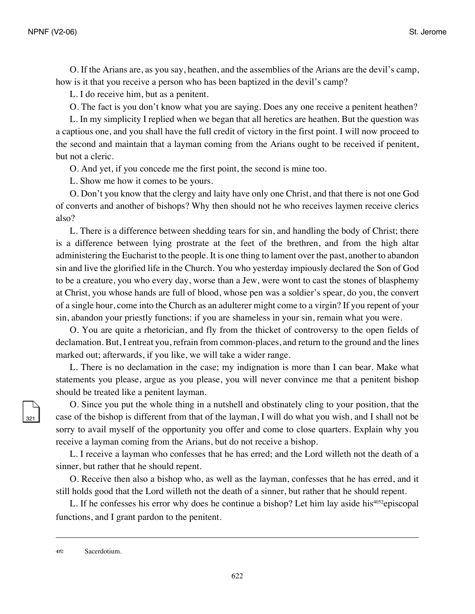O. If the Arians are, as you say, heathen, and the assemblies of the Arians are the devil's camp, how is it that you receive a person who has been baptized in the devil's camp?

L. I do receive him, but as a penitent.

O. The fact is you don't know what you are saying. Does any one receive a penitent heathen?

L. In my simplicity I replied when we began that all heretics are heathen. But the question was a captious one, and you shall have the full credit of victory in the first point. I will now proceed to the second and maintain that a layman coming from the Arians ought to be received if penitent, but not a cleric.

O. And yet, if you concede me the first point, the second is mine too.

L. Show me how it comes to be yours.

O. Don't you know that the clergy and laity have only one Christ, and that there is not one God of converts and another of bishops? Why then should not he who receives laymen receive clerics also?

L. There is a difference between shedding tears for sin, and handling the body of Christ; there is a difference between lying prostrate at the feet of the brethren, and from the high altar administering the Eucharist to the people. It is one thing to lament over the past, another to abandon sin and live the glorified life in the Church. You who yesterday impiously declared the Son of God to be a creature, you who every day, worse than a Jew, were wont to cast the stones of blasphemy at Christ, you whose hands are full of blood, whose pen was a soldier's spear, do you, the convert of a single hour, come into the Church as an adulterer might come to a virgin? If you repent of your sin, abandon your priestly functions: if you are shameless in your sin, remain what you were.

O. You are quite a rhetorician, and fly from the thicket of controversy to the open fields of declamation. But, I entreat you, refrain from common-places, and return to the ground and the lines marked out; afterwards, if you like, we will take a wider range.

L. There is no declamation in the case; my indignation is more than I can bear. Make what statements you please, argue as you please, you will never convince me that a penitent bishop should be treated like a penitent layman.

O. Since you put the whole thing in a nutshell and obstinately cling to your position, that the case of the bishop is different from that of the layman, I will do what you wish, and I shall not be sorry to avail myself of the opportunity you offer and come to close quarters. Explain why you receive a layman coming from the Arians, but do not receive a bishop.

L. I receive a layman who confesses that he has erred; and the Lord willeth not the death of a sinner, but rather that he should repent.

O. Receive then also a bishop who, as well as the layman, confesses that he has erred, and it still holds good that the Lord willeth not the death of a sinner, but rather that he should repent.

L. If he confesses his error why does he continue a bishop? Let him lay aside his<sup>4052</sup>episcopal functions, and I grant pardon to the penitent.

[321](http://www.ccel.org/ccel/schaff/npnf206/Page_321.html)

<sup>4052</sup> Sacerdotium.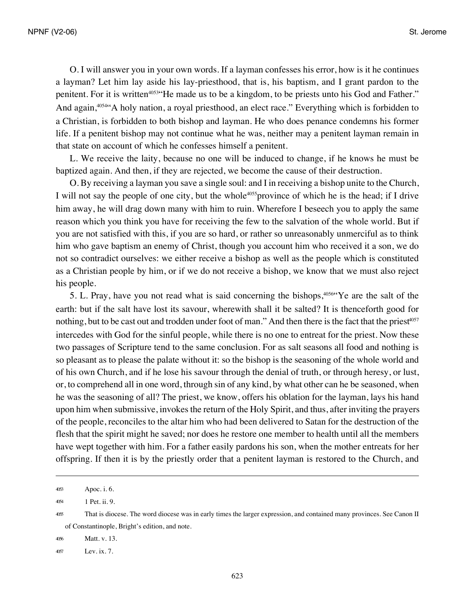O. I will answer you in your own words. If a layman confesses his error, how is it he continues a layman? Let him lay aside his lay-priesthood, that is, his baptism, and I grant pardon to the penitent. For it is written<sup>40534</sup>He made us to be a kingdom, to be priests unto his God and Father." And again,<sup>4054"</sup>A holy nation, a royal priesthood, an elect race." Everything which is forbidden to a Christian, is forbidden to both bishop and layman. He who does penance condemns his former life. If a penitent bishop may not continue what he was, neither may a penitent layman remain in that state on account of which he confesses himself a penitent.

L. We receive the laity, because no one will be induced to change, if he knows he must be baptized again. And then, if they are rejected, we become the cause of their destruction.

O. By receiving a layman you save a single soul: and I in receiving a bishop unite to the Church, I will not say the people of one city, but the whole<sup>4055</sup>province of which he is the head; if I drive him away, he will drag down many with him to ruin. Wherefore I beseech you to apply the same reason which you think you have for receiving the few to the salvation of the whole world. But if you are not satisfied with this, if you are so hard, or rather so unreasonably unmerciful as to think him who gave baptism an enemy of Christ, though you account him who received it a son, we do not so contradict ourselves: we either receive a bishop as well as the people which is constituted as a Christian people by him, or if we do not receive a bishop, we know that we must also reject his people.

5. L. Pray, have you not read what is said concerning the bishops, <sup>4056"</sup>Ye are the salt of the earth: but if the salt have lost its savour, wherewith shall it be salted? It is thenceforth good for nothing, but to be cast out and trodden under foot of man." And then there is the fact that the priest<sup>4057</sup> intercedes with God for the sinful people, while there is no one to entreat for the priest. Now these two passages of Scripture tend to the same conclusion. For as salt seasons all food and nothing is so pleasant as to please the palate without it: so the bishop is the seasoning of the whole world and of his own Church, and if he lose his savour through the denial of truth, or through heresy, or lust, or, to comprehend all in one word, through sin of any kind, by what other can he be seasoned, when he was the seasoning of all? The priest, we know, offers his oblation for the layman, lays his hand upon him when submissive, invokes the return of the Holy Spirit, and thus, after inviting the prayers of the people, reconciles to the altar him who had been delivered to Satan for the destruction of the flesh that the spirit might he saved; nor does he restore one member to health until all the members have wept together with him. For a father easily pardons his son, when the mother entreats for her offspring. If then it is by the priestly order that a penitent layman is restored to the Church, and

<sup>4053</sup> [Apoc. i. 6.](http://www.ccel.org/ccel/bible/asv.Rev.1.html#Rev.1.6)

<sup>4054</sup> [1 Pet. ii. 9.](http://www.ccel.org/ccel/bible/asv.iPet.2.html#iPet.2.9)

<sup>4055</sup> That is diocese. The word diocese was in early times the larger expression, and contained many provinces. See Canon II of Constantinople, Bright's edition, and note.

<sup>4056</sup> [Matt. v. 13.](http://www.ccel.org/ccel/bible/asv.Matt.5.html#Matt.5.13)

<sup>4057</sup> [Lev. ix. 7.](http://www.ccel.org/ccel/bible/asv.Lev.9.html#Lev.9.7)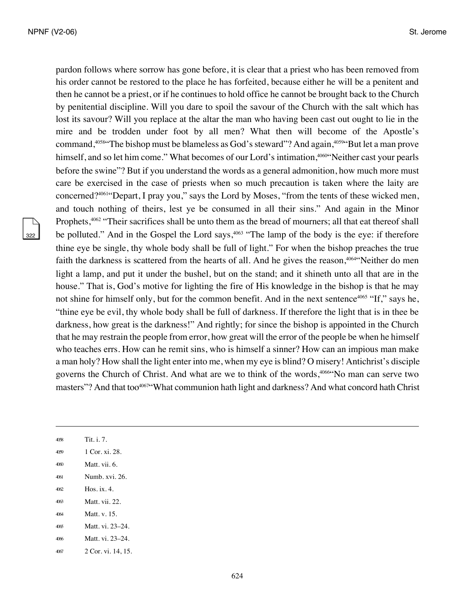pardon follows where sorrow has gone before, it is clear that a priest who has been removed from his order cannot be restored to the place he has forfeited, because either he will be a penitent and then he cannot be a priest, or if he continues to hold office he cannot be brought back to the Church by penitential discipline. Will you dare to spoil the savour of the Church with the salt which has lost its savour? Will you replace at the altar the man who having been cast out ought to lie in the mire and be trodden under foot by all men? What then will become of the Apostle's command,<sup>4058"</sup>The bishop must be blameless as God's steward"? And again,<sup>4059"</sup>But let a man prove himself, and so let him come." What becomes of our Lord's intimation,  $4060$ <sup>cco</sup> Neither cast your pearls before the swine"? But if you understand the words as a general admonition, how much more must care be exercised in the case of priests when so much precaution is taken where the laity are concerned?4061"Depart, I pray you," says the Lord by Moses, "from the tents of these wicked men, and touch nothing of theirs, lest ye be consumed in all their sins." And again in the Minor Prophets,<sup>4062</sup> "Their sacrifices shall be unto them as the bread of mourners; all that eat thereof shall be polluted." And in the Gospel the Lord says,<sup>4063</sup> "The lamp of the body is the eye: if therefore thine eye be single, thy whole body shall be full of light." For when the bishop preaches the true faith the darkness is scattered from the hearts of all. And he gives the reason,<sup>4064</sup> Neither do men light a lamp, and put it under the bushel, but on the stand; and it shineth unto all that are in the house." That is, God's motive for lighting the fire of His knowledge in the bishop is that he may not shine for himself only, but for the common benefit. And in the next sentence<sup>4065</sup> "If," says he, "thine eye be evil, thy whole body shall be full of darkness. If therefore the light that is in thee be darkness, how great is the darkness!" And rightly; for since the bishop is appointed in the Church that he may restrain the people from error, how great will the error of the people be when he himself who teaches errs. How can he remit sins, who is himself a sinner? How can an impious man make a man holy? How shall the light enter into me, when my eye is blind? O misery! Antichrist's disciple governs the Church of Christ. And what are we to think of the words,<sup>40664</sup>No man can serve two masters"? And that too<sup>4067</sup>"What communion hath light and darkness? And what concord hath Christ

 [1 Cor. xi. 28](http://www.ccel.org/ccel/bible/asv.iCor.11.html#iCor.11.28). [Matt. vii. 6](http://www.ccel.org/ccel/bible/asv.Matt.7.html#Matt.7.6). [Numb. xvi. 26](http://www.ccel.org/ccel/bible/asv.Num.16.html#Num.16.26). [Hos. ix. 4](http://www.ccel.org/ccel/bible/asv.Hos.9.html#Hos.9.4).

4058 [Tit. i. 7.](http://www.ccel.org/ccel/bible/asv.Titus.1.html#Titus.1.7)

- 4063 [Matt. vii. 22.](http://www.ccel.org/ccel/bible/asv.Matt.7.html#Matt.7.22)
- 4064 [Matt. v. 15.](http://www.ccel.org/ccel/bible/asv.Matt.5.html#Matt.5.15)
- <sup>4065</sup> [Matt. vi. 23–24.](http://www.ccel.org/ccel/bible/asv.Matt.6.html#Matt.6.23)
- <sup>4066</sup> [Matt. vi. 23–24.](http://www.ccel.org/ccel/bible/asv.Matt.6.html#Matt.6.23)
- <sup>4067</sup> [2 Cor. vi. 14, 15.](http://www.ccel.org/ccel/bible/asv.iiCor.6.html#iiCor.6.14)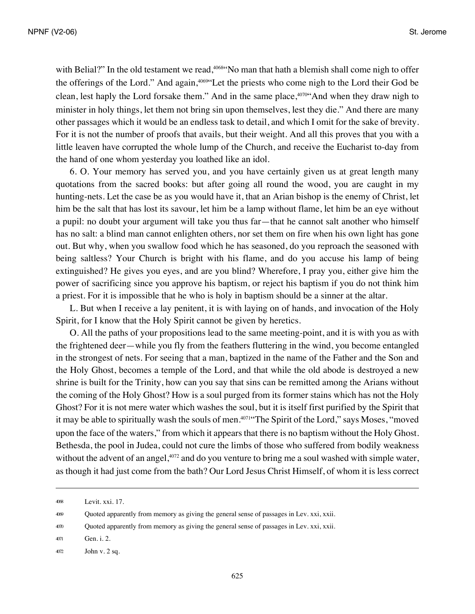with Belial?" In the old testament we read, 4068". No man that hath a blemish shall come nigh to offer the offerings of the Lord." And again,4069"Let the priests who come nigh to the Lord their God be clean, lest haply the Lord forsake them." And in the same place,<sup>4070"</sup> And when they draw nigh to minister in holy things, let them not bring sin upon themselves, lest they die." And there are many other passages which it would be an endless task to detail, and which I omit for the sake of brevity. For it is not the number of proofs that avails, but their weight. And all this proves that you with a little leaven have corrupted the whole lump of the Church, and receive the Eucharist to-day from the hand of one whom yesterday you loathed like an idol.

6. O. Your memory has served you, and you have certainly given us at great length many quotations from the sacred books: but after going all round the wood, you are caught in my hunting-nets. Let the case be as you would have it, that an Arian bishop is the enemy of Christ, let him be the salt that has lost its savour, let him be a lamp without flame, let him be an eye without a pupil: no doubt your argument will take you thus far—that he cannot salt another who himself has no salt: a blind man cannot enlighten others, nor set them on fire when his own light has gone out. But why, when you swallow food which he has seasoned, do you reproach the seasoned with being saltless? Your Church is bright with his flame, and do you accuse his lamp of being extinguished? He gives you eyes, and are you blind? Wherefore, I pray you, either give him the power of sacrificing since you approve his baptism, or reject his baptism if you do not think him a priest. For it is impossible that he who is holy in baptism should be a sinner at the altar.

L. But when I receive a lay penitent, it is with laying on of hands, and invocation of the Holy Spirit, for I know that the Holy Spirit cannot be given by heretics.

O. All the paths of your propositions lead to the same meeting-point, and it is with you as with the frightened deer—while you fly from the feathers fluttering in the wind, you become entangled in the strongest of nets. For seeing that a man, baptized in the name of the Father and the Son and the Holy Ghost, becomes a temple of the Lord, and that while the old abode is destroyed a new shrine is built for the Trinity, how can you say that sins can be remitted among the Arians without the coming of the Holy Ghost? How is a soul purged from its former stains which has not the Holy Ghost? For it is not mere water which washes the soul, but it is itself first purified by the Spirit that it may be able to spiritually wash the souls of men.<sup>4071</sup> The Spirit of the Lord," says Moses, "moved upon the face of the waters," from which it appears that there is no baptism without the Holy Ghost. Bethesda, the pool in Judea, could not cure the limbs of those who suffered from bodily weakness without the advent of an angel, 4072 and do you venture to bring me a soul washed with simple water, as though it had just come from the bath? Our Lord Jesus Christ Himself, of whom it is less correct

<sup>4068</sup> [Levit. xxi. 17.](http://www.ccel.org/ccel/bible/asv.Lev.21.html#Lev.21.17)

<sup>4069</sup> Quoted apparently from memory as giving the general sense of passages in [Lev. xxi, xxii](http://www.ccel.org/ccel/bible/asv...html#..).

<sup>4070</sup> Quoted apparently from memory as giving the general sense of passages in [Lev. xxi, xxii](http://www.ccel.org/ccel/bible/asv...html#..).

<sup>4071</sup> [Gen. i. 2](http://www.ccel.org/ccel/bible/asv.Gen.1.html#Gen.1.2).

<sup>4072</sup> [John v. 2](http://www.ccel.org/ccel/bible/asv.John.5.html#John.5.2) sq.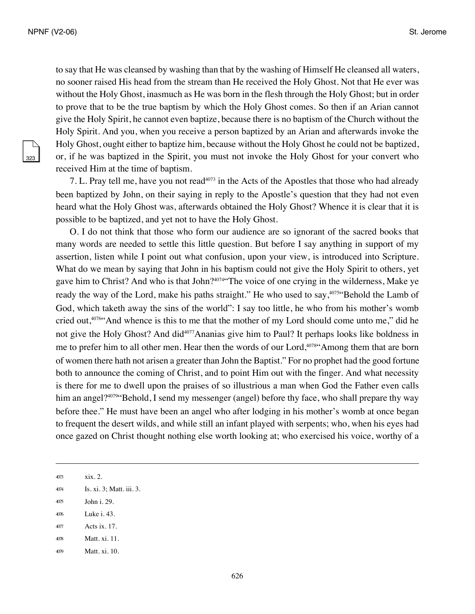to say that He was cleansed by washing than that by the washing of Himself He cleansed all waters, no sooner raised His head from the stream than He received the Holy Ghost. Not that He ever was without the Holy Ghost, inasmuch as He was born in the flesh through the Holy Ghost; but in order to prove that to be the true baptism by which the Holy Ghost comes. So then if an Arian cannot give the Holy Spirit, he cannot even baptize, because there is no baptism of the Church without the Holy Spirit. And you, when you receive a person baptized by an Arian and afterwards invoke the Holy Ghost, ought either to baptize him, because without the Holy Ghost he could not be baptized, or, if he was baptized in the Spirit, you must not invoke the Holy Ghost for your convert who received Him at the time of baptism.

7. L. Pray tell me, have you not read<sup>4073</sup> in the Acts of the Apostles that those who had already been baptized by John, on their saying in reply to the Apostle's question that they had not even heard what the Holy Ghost was, afterwards obtained the Holy Ghost? Whence it is clear that it is possible to be baptized, and yet not to have the Holy Ghost.

O. I do not think that those who form our audience are so ignorant of the sacred books that many words are needed to settle this little question. But before I say anything in support of my assertion, listen while I point out what confusion, upon your view, is introduced into Scripture. What do we mean by saying that John in his baptism could not give the Holy Spirit to others, yet gave him to Christ? And who is that John?<sup>4074</sup> The voice of one crying in the wilderness, Make ye ready the way of the Lord, make his paths straight." He who used to say,<sup>4075"</sup>Behold the Lamb of God, which taketh away the sins of the world": I say too little, he who from his mother's womb cried out,<sup>4076"</sup>And whence is this to me that the mother of my Lord should come unto me," did he not give the Holy Ghost? And did<sup>4077</sup> Ananias give him to Paul? It perhaps looks like boldness in me to prefer him to all other men. Hear then the words of our Lord,<sup>4078"</sup>Among them that are born of women there hath not arisen a greater than John the Baptist." For no prophet had the good fortune both to announce the coming of Christ, and to point Him out with the finger. And what necessity is there for me to dwell upon the praises of so illustrious a man when God the Father even calls him an angel?<sup>40794</sup> Behold, I send my messenger (angel) before thy face, who shall prepare thy way before thee." He must have been an angel who after lodging in his mother's womb at once began to frequent the desert wilds, and while still an infant played with serpents; who, when his eyes had once gazed on Christ thought nothing else worth looking at; who exercised his voice, worthy of a

- 4076 [Luke i. 43.](http://www.ccel.org/ccel/bible/asv.Luke.1.html#Luke.1.43)
- <sup>4077</sup> [Acts ix. 17](http://www.ccel.org/ccel/bible/asv.Acts.9.html#Acts.9.17).
- <sup>4078</sup> [Matt. xi. 11](http://www.ccel.org/ccel/bible/asv.Matt.11.html#Matt.11.11).
- <sup>4079</sup> [Matt. xi. 10](http://www.ccel.org/ccel/bible/asv.Matt.11.html#Matt.11.10).

<sup>4073</sup> [xix. 2.](http://www.ccel.org/ccel/bible/asv.Acts.19.html#Acts.19.2)

<sup>4074</sup> Is. xi. 3; Matt. iii. 3.

<sup>4075</sup> [John i. 29](http://www.ccel.org/ccel/bible/asv.John.1.html#John.1.29).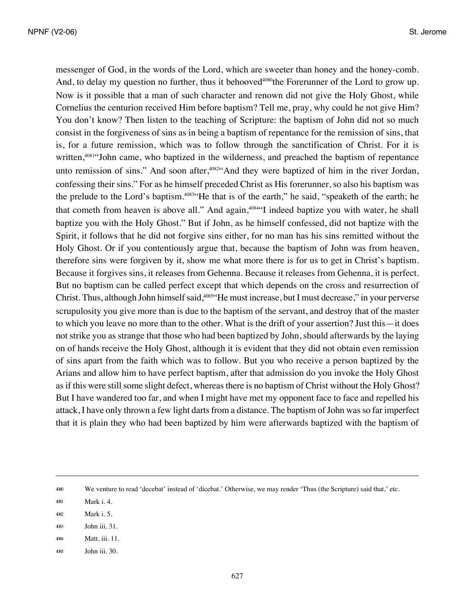messenger of God, in the words of the Lord, which are sweeter than honey and the honey-comb. And, to delay my question no further, thus it behooved<sup>4080</sup>the Forerunner of the Lord to grow up. Now is it possible that a man of such character and renown did not give the Holy Ghost, while Cornelius the centurion received Him before baptism? Tell me, pray, why could he not give Him? You don't know? Then listen to the teaching of Scripture: the baptism of John did not so much consist in the forgiveness of sins as in being a baptism of repentance for the remission of sins, that is, for a future remission, which was to follow through the sanctification of Christ. For it is written,<sup>4081"</sup>John came, who baptized in the wilderness, and preached the baptism of repentance unto remission of sins." And soon after,<sup>4082"</sup> And they were baptized of him in the river Jordan, confessing their sins." For as he himself preceded Christ as His forerunner, so also his baptism was the prelude to the Lord's baptism.<sup>4083"</sup>He that is of the earth," he said, "speaketh of the earth; he that cometh from heaven is above all." And again,<sup>4084"</sup>I indeed baptize you with water, he shall baptize you with the Holy Ghost." But if John, as he himself confessed, did not baptize with the Spirit, it follows that he did not forgive sins either, for no man has his sins remitted without the Holy Ghost. Or if you contentiously argue that, because the baptism of John was from heaven, therefore sins were forgiven by it, show me what more there is for us to get in Christ's baptism. Because it forgives sins, it releases from Gehenna. Because it releases from Gehenna, it is perfect. But no baptism can be called perfect except that which depends on the cross and resurrection of Christ. Thus, although John himself said, 4085"He must increase, but I must decrease," in your perverse scrupulosity you give more than is due to the baptism of the servant, and destroy that of the master to which you leave no more than to the other. What is the drift of your assertion? Just this—it does not strike you as strange that those who had been baptized by John, should afterwards by the laying on of hands receive the Holy Ghost, although it is evident that they did not obtain even remission of sins apart from the faith which was to follow. But you who receive a person baptized by the Arians and allow him to have perfect baptism, after that admission do you invoke the Holy Ghost as if this were still some slight defect, whereas there is no baptism of Christ without the Holy Ghost? But I have wandered too far, and when I might have met my opponent face to face and repelled his attack, I have only thrown a few light darts from a distance. The baptism of John was so far imperfect that it is plain they who had been baptized by him were afterwards baptized with the baptism of

- 4082 [Mark i. 5](http://www.ccel.org/ccel/bible/asv.Mark.1.html#Mark.1.5).
- <sup>4083</sup> [John iii. 31.](http://www.ccel.org/ccel/bible/asv.John.3.html#John.3.31)
- <sup>4084</sup> [Matt. iii. 11.](http://www.ccel.org/ccel/bible/asv.Matt.3.html#Matt.3.11)
- <sup>4085</sup> [John iii. 30.](http://www.ccel.org/ccel/bible/asv.John.3.html#John.3.30)

<sup>4080</sup> We venture to read 'decebat' instead of 'dicebat.' Otherwise, we may render 'Thus (the Scripture) said that,' etc.

<sup>4081</sup> [Mark i. 4](http://www.ccel.org/ccel/bible/asv.Mark.1.html#Mark.1.4).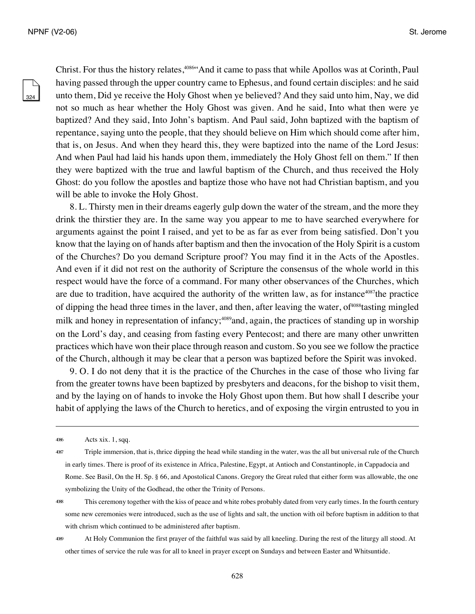Christ. For thus the history relates,<sup>408644</sup> And it came to pass that while Apollos was at Corinth, Paul having passed through the upper country came to Ephesus, and found certain disciples: and he said unto them, Did ye receive the Holy Ghost when ye believed? And they said unto him, Nay, we did not so much as hear whether the Holy Ghost was given. And he said, Into what then were ye baptized? And they said, Into John's baptism. And Paul said, John baptized with the baptism of repentance, saying unto the people, that they should believe on Him which should come after him, that is, on Jesus. And when they heard this, they were baptized into the name of the Lord Jesus: And when Paul had laid his hands upon them, immediately the Holy Ghost fell on them." If then they were baptized with the true and lawful baptism of the Church, and thus received the Holy Ghost: do you follow the apostles and baptize those who have not had Christian baptism, and you will be able to invoke the Holy Ghost.

8. L. Thirsty men in their dreams eagerly gulp down the water of the stream, and the more they drink the thirstier they are. In the same way you appear to me to have searched everywhere for arguments against the point I raised, and yet to be as far as ever from being satisfied. Don't you know that the laying on of hands after baptism and then the invocation of the Holy Spirit is a custom of the Churches? Do you demand Scripture proof? You may find it in the Acts of the Apostles. And even if it did not rest on the authority of Scripture the consensus of the whole world in this respect would have the force of a command. For many other observances of the Churches, which are due to tradition, have acquired the authority of the written law, as for instance<sup>4087</sup>the practice of dipping the head three times in the laver, and then, after leaving the water, of <sup>4088</sup>tasting mingled milk and honey in representation of infancy;<sup>4089</sup>and, again, the practices of standing up in worship on the Lord's day, and ceasing from fasting every Pentecost; and there are many other unwritten practices which have won their place through reason and custom. So you see we follow the practice of the Church, although it may be clear that a person was baptized before the Spirit was invoked.

9. O. I do not deny that it is the practice of the Churches in the case of those who living far from the greater towns have been baptized by presbyters and deacons, for the bishop to visit them, and by the laying on of hands to invoke the Holy Ghost upon them. But how shall I describe your habit of applying the laws of the Church to heretics, and of exposing the virgin entrusted to you in

4086 [Acts xix. 1](http://www.ccel.org/ccel/bible/asv.Acts.19.html#Acts.19.1), sqq.

<sup>4087</sup> Triple immersion, that is, thrice dipping the head while standing in the water, was the all but universal rule of the Church in early times. There is proof of its existence in Africa, Palestine, Egypt, at Antioch and Constantinople, in Cappadocia and Rome. See Basil, On the H. Sp. § 66, and Apostolical Canons. Gregory the Great ruled that either form was allowable, the one symbolizing the Unity of the Godhead, the other the Trinity of Persons.

<sup>4088</sup> This ceremony together with the kiss of peace and white robes probably dated from very early times. In the fourth century some new ceremonies were introduced, such as the use of lights and salt, the unction with oil before baptism in addition to that with chrism which continued to be administered after baptism.

<sup>4089</sup> At Holy Communion the first prayer of the faithful was said by all kneeling. During the rest of the liturgy all stood. At other times of service the rule was for all to kneel in prayer except on Sundays and between Easter and Whitsuntide.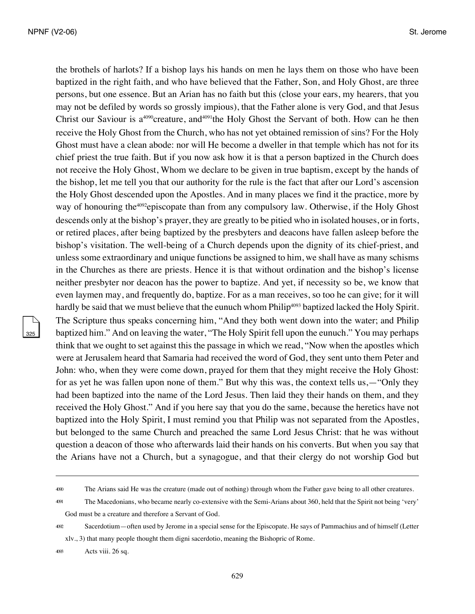the brothels of harlots? If a bishop lays his hands on men he lays them on those who have been baptized in the right faith, and who have believed that the Father, Son, and Holy Ghost, are three persons, but one essence. But an Arian has no faith but this (close your ears, my hearers, that you may not be defiled by words so grossly impious), that the Father alone is very God, and that Jesus Christ our Saviour is a<sup>4090</sup>creature, and<sup>4091</sup>the Holy Ghost the Servant of both. How can he then receive the Holy Ghost from the Church, who has not yet obtained remission of sins? For the Holy Ghost must have a clean abode: nor will He become a dweller in that temple which has not for its chief priest the true faith. But if you now ask how it is that a person baptized in the Church does not receive the Holy Ghost, Whom we declare to be given in true baptism, except by the hands of the bishop, let me tell you that our authority for the rule is the fact that after our Lord's ascension the Holy Ghost descended upon the Apostles. And in many places we find it the practice, more by way of honouring the<sup>4092</sup>episcopate than from any compulsory law. Otherwise, if the Holy Ghost descends only at the bishop's prayer, they are greatly to be pitied who in isolated houses, or in forts, or retired places, after being baptized by the presbyters and deacons have fallen asleep before the bishop's visitation. The well-being of a Church depends upon the dignity of its chief-priest, and unless some extraordinary and unique functions be assigned to him, we shall have as many schisms in the Churches as there are priests. Hence it is that without ordination and the bishop's license neither presbyter nor deacon has the power to baptize. And yet, if necessity so be, we know that even laymen may, and frequently do, baptize. For as a man receives, so too he can give; for it will hardly be said that we must believe that the eunuch whom Philip<sup>4093</sup> baptized lacked the Holy Spirit. The Scripture thus speaks concerning him, "And they both went down into the water; and Philip baptized him." And on leaving the water, "The Holy Spirit fell upon the eunuch." You may perhaps think that we ought to set against this the passage in which we read, "Now when the apostles which were at Jerusalem heard that Samaria had received the word of God, they sent unto them Peter and John: who, when they were come down, prayed for them that they might receive the Holy Ghost: for as yet he was fallen upon none of them." But why this was, the context tells us,—"Only they had been baptized into the name of the Lord Jesus. Then laid they their hands on them, and they received the Holy Ghost." And if you here say that you do the same, because the heretics have not baptized into the Holy Spirit, I must remind you that Philip was not separated from the Apostles, but belonged to the same Church and preached the same Lord Jesus Christ: that he was without question a deacon of those who afterwards laid their hands on his converts. But when you say that the Arians have not a Church, but a synagogue, and that their clergy do not worship God but

<sup>4093</sup> [Acts viii. 26](http://www.ccel.org/ccel/bible/asv.Acts.8.html#Acts.8.26) sq.

<sup>4090</sup> The Arians said He was the creature (made out of nothing) through whom the Father gave being to all other creatures.

<sup>4091</sup> The Macedonians, who became nearly co-extensive with the Semi-Arians about 360, held that the Spirit not being 'very' God must be a creature and therefore a Servant of God.

<sup>4092</sup> Sacerdotium—often used by Jerome in a special sense for the Episcopate. He says of Pammachius and of himself (Letter xlv., 3) that many people thought them digni sacerdotio, meaning the Bishopric of Rome.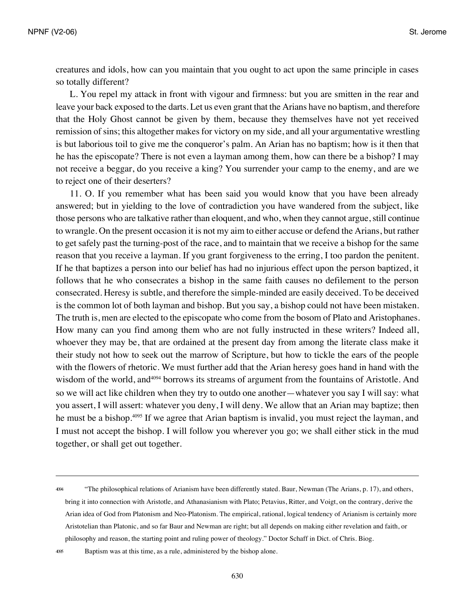creatures and idols, how can you maintain that you ought to act upon the same principle in cases so totally different?

L. You repel my attack in front with vigour and firmness: but you are smitten in the rear and leave your back exposed to the darts. Let us even grant that the Arians have no baptism, and therefore that the Holy Ghost cannot be given by them, because they themselves have not yet received remission of sins; this altogether makes for victory on my side, and all your argumentative wrestling is but laborious toil to give me the conqueror's palm. An Arian has no baptism; how is it then that he has the episcopate? There is not even a layman among them, how can there be a bishop? I may not receive a beggar, do you receive a king? You surrender your camp to the enemy, and are we to reject one of their deserters?

11. O. If you remember what has been said you would know that you have been already answered; but in yielding to the love of contradiction you have wandered from the subject, like those persons who are talkative rather than eloquent, and who, when they cannot argue, still continue to wrangle. On the present occasion it is not my aim to either accuse or defend the Arians, but rather to get safely past the turning-post of the race, and to maintain that we receive a bishop for the same reason that you receive a layman. If you grant forgiveness to the erring, I too pardon the penitent. If he that baptizes a person into our belief has had no injurious effect upon the person baptized, it follows that he who consecrates a bishop in the same faith causes no defilement to the person consecrated. Heresy is subtle, and therefore the simple-minded are easily deceived. To be deceived is the common lot of both layman and bishop. But you say, a bishop could not have been mistaken. The truth is, men are elected to the episcopate who come from the bosom of Plato and Aristophanes. How many can you find among them who are not fully instructed in these writers? Indeed all, whoever they may be, that are ordained at the present day from among the literate class make it their study not how to seek out the marrow of Scripture, but how to tickle the ears of the people with the flowers of rhetoric. We must further add that the Arian heresy goes hand in hand with the wisdom of the world, and<sup>4094</sup> borrows its streams of argument from the fountains of Aristotle. And so we will act like children when they try to outdo one another—whatever you say I will say: what you assert, I will assert: whatever you deny, I will deny. We allow that an Arian may baptize; then he must be a bishop.<sup>4095</sup> If we agree that Arian baptism is invalid, you must reject the layman, and I must not accept the bishop. I will follow you wherever you go; we shall either stick in the mud together, or shall get out together.

<sup>4094</sup> "The philosophical relations of Arianism have been differently stated. Baur, Newman (The Arians, p. 17), and others, bring it into connection with Aristotle, and Athanasianism with Plato; Petavius, Ritter, and Voigt, on the contrary, derive the Arian idea of God from Platonism and Neo-Platonism. The empirical, rational, logical tendency of Arianism is certainly more Aristotelian than Platonic, and so far Baur and Newman are right; but all depends on making either revelation and faith, or philosophy and reason, the starting point and ruling power of theology." Doctor Schaff in Dict. of Chris. Biog.

<sup>4095</sup> Baptism was at this time, as a rule, administered by the bishop alone.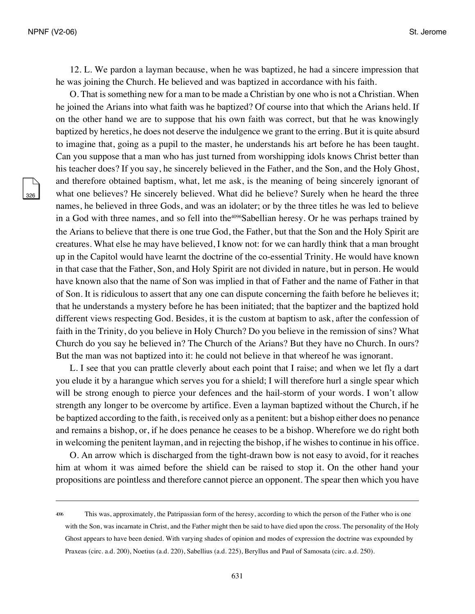12. L. We pardon a layman because, when he was baptized, he had a sincere impression that he was joining the Church. He believed and was baptized in accordance with his faith.

O. That is something new for a man to be made a Christian by one who is not a Christian. When he joined the Arians into what faith was he baptized? Of course into that which the Arians held. If on the other hand we are to suppose that his own faith was correct, but that he was knowingly baptized by heretics, he does not deserve the indulgence we grant to the erring. But it is quite absurd to imagine that, going as a pupil to the master, he understands his art before he has been taught. Can you suppose that a man who has just turned from worshipping idols knows Christ better than his teacher does? If you say, he sincerely believed in the Father, and the Son, and the Holy Ghost, and therefore obtained baptism, what, let me ask, is the meaning of being sincerely ignorant of what one believes? He sincerely believed. What did he believe? Surely when he heard the three names, he believed in three Gods, and was an idolater; or by the three titles he was led to believe in a God with three names, and so fell into the<sup>4096</sup>Sabellian heresy. Or he was perhaps trained by the Arians to believe that there is one true God, the Father, but that the Son and the Holy Spirit are creatures. What else he may have believed, I know not: for we can hardly think that a man brought up in the Capitol would have learnt the doctrine of the co-essential Trinity. He would have known in that case that the Father, Son, and Holy Spirit are not divided in nature, but in person. He would have known also that the name of Son was implied in that of Father and the name of Father in that of Son. It is ridiculous to assert that any one can dispute concerning the faith before he believes it; that he understands a mystery before he has been initiated; that the baptizer and the baptized hold different views respecting God. Besides, it is the custom at baptism to ask, after the confession of faith in the Trinity, do you believe in Holy Church? Do you believe in the remission of sins? What Church do you say he believed in? The Church of the Arians? But they have no Church. In ours? But the man was not baptized into it: he could not believe in that whereof he was ignorant.

L. I see that you can prattle cleverly about each point that I raise; and when we let fly a dart you elude it by a harangue which serves you for a shield; I will therefore hurl a single spear which will be strong enough to pierce your defences and the hail-storm of your words. I won't allow strength any longer to be overcome by artifice. Even a layman baptized without the Church, if he be baptized according to the faith, is received only as a penitent: but a bishop either does no penance and remains a bishop, or, if he does penance he ceases to be a bishop. Wherefore we do right both in welcoming the penitent layman, and in rejecting the bishop, if he wishes to continue in his office.

O. An arrow which is discharged from the tight-drawn bow is not easy to avoid, for it reaches him at whom it was aimed before the shield can be raised to stop it. On the other hand your propositions are pointless and therefore cannot pierce an opponent. The spear then which you have

<sup>4096</sup> This was, approximately, the Patripassian form of the heresy, according to which the person of the Father who is one with the Son, was incarnate in Christ, and the Father might then be said to have died upon the cross. The personality of the Holy Ghost appears to have been denied. With varying shades of opinion and modes of expression the doctrine was expounded by Praxeas (circ. a.d. 200), Noetius (a.d. 220), Sabellius (a.d. 225), Beryllus and Paul of Samosata (circ. a.d. 250).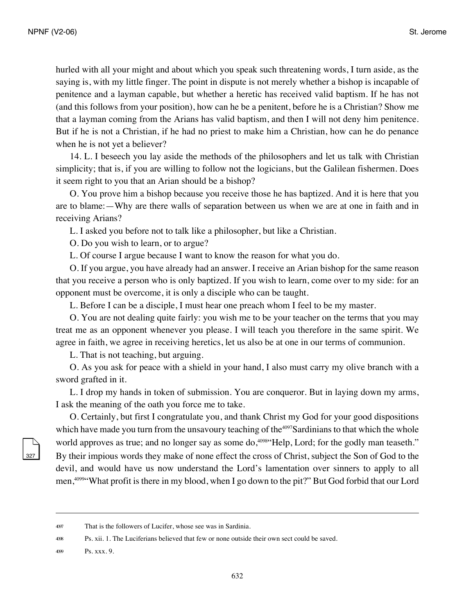hurled with all your might and about which you speak such threatening words, I turn aside, as the saying is, with my little finger. The point in dispute is not merely whether a bishop is incapable of penitence and a layman capable, but whether a heretic has received valid baptism. If he has not (and this follows from your position), how can he be a penitent, before he is a Christian? Show me that a layman coming from the Arians has valid baptism, and then I will not deny him penitence. But if he is not a Christian, if he had no priest to make him a Christian, how can he do penance when he is not yet a believer?

14. L. I beseech you lay aside the methods of the philosophers and let us talk with Christian simplicity; that is, if you are willing to follow not the logicians, but the Galilean fishermen. Does it seem right to you that an Arian should be a bishop?

O. You prove him a bishop because you receive those he has baptized. And it is here that you are to blame:—Why are there walls of separation between us when we are at one in faith and in receiving Arians?

L. I asked you before not to talk like a philosopher, but like a Christian.

O. Do you wish to learn, or to argue?

L. Of course I argue because I want to know the reason for what you do.

O. If you argue, you have already had an answer. I receive an Arian bishop for the same reason that you receive a person who is only baptized. If you wish to learn, come over to my side: for an opponent must be overcome, it is only a disciple who can be taught.

L. Before I can be a disciple, I must hear one preach whom I feel to be my master.

O. You are not dealing quite fairly: you wish me to be your teacher on the terms that you may treat me as an opponent whenever you please. I will teach you therefore in the same spirit. We agree in faith, we agree in receiving heretics, let us also be at one in our terms of communion.

L. That is not teaching, but arguing.

O. As you ask for peace with a shield in your hand, I also must carry my olive branch with a sword grafted in it.

L. I drop my hands in token of submission. You are conqueror. But in laying down my arms, I ask the meaning of the oath you force me to take.

O. Certainly, but first I congratulate you, and thank Christ my God for your good dispositions which have made you turn from the unsavoury teaching of the  $4097$ Sardinians to that which the whole world approves as true; and no longer say as some do,<sup>4098"</sup>Help, Lord; for the godly man teaseth." By their impious words they make of none effect the cross of Christ, subject the Son of God to the devil, and would have us now understand the Lord's lamentation over sinners to apply to all men,<sup>4099"</sup>What profit is there in my blood, when I go down to the pit?" But God forbid that our Lord

<sup>4099</sup> [Ps. xxx. 9.](http://www.ccel.org/ccel/bible/asv.Ps.30.html#Ps.30.9)

[327](http://www.ccel.org/ccel/schaff/npnf206/Page_327.html)

<sup>4097</sup> That is the followers of Lucifer, whose see was in Sardinia.

<sup>4098</sup> [Ps. xii. 1.](http://www.ccel.org/ccel/bible/asv.Ps.12.html#Ps.12.1) The Luciferians believed that few or none outside their own sect could be saved.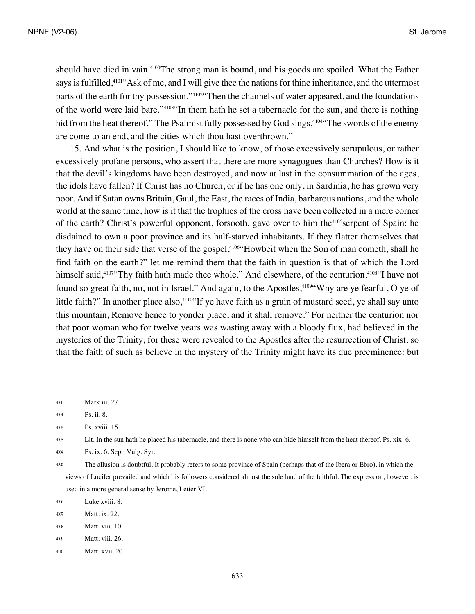should have died in vain.<sup>4100</sup>The strong man is bound, and his goods are spoiled. What the Father says is fulfilled,<sup>4101"</sup>Ask of me, and I will give thee the nations for thine inheritance, and the uttermost parts of the earth for thy possession."4102"Then the channels of water appeared, and the foundations of the world were laid bare."<sup>4103"</sup>In them hath he set a tabernacle for the sun, and there is nothing hid from the heat thereof." The Psalmist fully possessed by God sings,<sup>4104"</sup>The swords of the enemy are come to an end, and the cities which thou hast overthrown."

15. And what is the position, I should like to know, of those excessively scrupulous, or rather excessively profane persons, who assert that there are more synagogues than Churches? How is it that the devil's kingdoms have been destroyed, and now at last in the consummation of the ages, the idols have fallen? If Christ has no Church, or if he has one only, in Sardinia, he has grown very poor. And if Satan owns Britain, Gaul, the East, the races of India, barbarous nations, and the whole world at the same time, how is it that the trophies of the cross have been collected in a mere corner of the earth? Christ's powerful opponent, forsooth, gave over to him the<sup>4105</sup>serpent of Spain: he disdained to own a poor province and its half-starved inhabitants. If they flatter themselves that they have on their side that verse of the gospel,<sup>4106"</sup>Howbeit when the Son of man cometh, shall he find faith on the earth?" let me remind them that the faith in question is that of which the Lord himself said,<sup>4107"</sup>Thy faith hath made thee whole." And elsewhere, of the centurion,<sup>4108"</sup>I have not found so great faith, no, not in Israel." And again, to the Apostles,<sup>4109"</sup>Why are ye fearful, O ye of little faith?" In another place also,<sup>4110"</sup>If ye have faith as a grain of mustard seed, ye shall say unto this mountain, Remove hence to yonder place, and it shall remove." For neither the centurion nor that poor woman who for twelve years was wasting away with a bloody flux, had believed in the mysteries of the Trinity, for these were revealed to the Apostles after the resurrection of Christ; so that the faith of such as believe in the mystery of the Trinity might have its due preeminence: but

<sup>4101</sup> [Ps. ii. 8](http://www.ccel.org/ccel/bible/asv.Ps.2.html#Ps.2.8).

4103 Lit. In the sun hath he placed his tabernacle, and there is none who can hide himself from the heat thereof. [Ps. xix. 6](http://www.ccel.org/ccel/bible/asv.Ps.19.html#Ps.19.6).

- <sup>4108</sup> [Matt. viii. 10](http://www.ccel.org/ccel/bible/asv.Matt.8.html#Matt.8.10).
- <sup>4109</sup> [Matt. viii. 26](http://www.ccel.org/ccel/bible/asv.Matt.8.html#Matt.8.26).
- <sup>4110</sup> [Matt. xvii. 20](http://www.ccel.org/ccel/bible/asv.Matt.17.html#Matt.17.20).

<sup>4100</sup> [Mark iii. 27.](http://www.ccel.org/ccel/bible/asv.Mark.3.html#Mark.3.27)

<sup>4102</sup> [Ps. xviii. 15](http://www.ccel.org/ccel/bible/asv.Ps.18.html#Ps.18.15).

<sup>4104</sup> [Ps. ix. 6](http://www.ccel.org/ccel/bible/asv.Ps.9.html#Ps.9.6). Sept. Vulg. Syr.

<sup>4105</sup> The allusion is doubtful. It probably refers to some province of Spain (perhaps that of the Ibera or Ebro), in which the views of Lucifer prevailed and which his followers considered almost the sole land of the faithful. The expression, however, is used in a more general sense by Jerome, Letter VI.

<sup>4106</sup> [Luke xviii. 8.](http://www.ccel.org/ccel/bible/asv.Luke.18.html#Luke.18.8)

<sup>4107</sup> [Matt. ix. 22](http://www.ccel.org/ccel/bible/asv.Matt.9.html#Matt.9.22).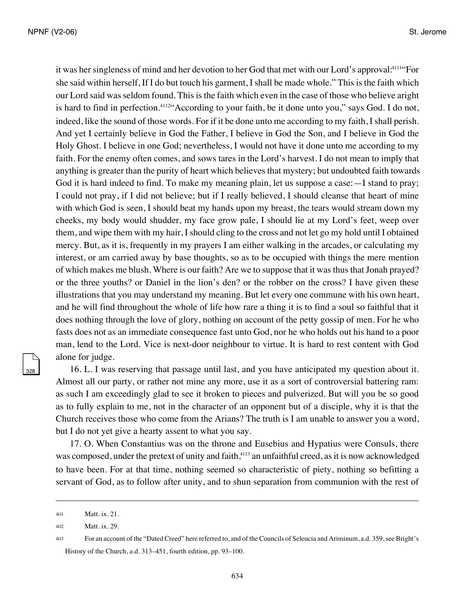it was her singleness of mind and her devotion to her God that met with our Lord's approval.<sup>4111"</sup>For she said within herself, If I do but touch his garment, I shall be made whole." This is the faith which our Lord said was seldom found. This is the faith which even in the case of those who believe aright is hard to find in perfection.<sup>4112"</sup>According to your faith, be it done unto you," says God. I do not, indeed, like the sound of those words. For if it be done unto me according to my faith, I shall perish. And yet I certainly believe in God the Father, I believe in God the Son, and I believe in God the Holy Ghost. I believe in one God; nevertheless, I would not have it done unto me according to my faith. For the enemy often comes, and sows tares in the Lord's harvest. I do not mean to imply that anything is greater than the purity of heart which believes that mystery; but undoubted faith towards God it is hard indeed to find. To make my meaning plain, let us suppose a case:—I stand to pray; I could not pray, if I did not believe; but if I really believed, I should cleanse that heart of mine with which God is seen, I should beat my hands upon my breast, the tears would stream down my cheeks, my body would shudder, my face grow pale, I should lie at my Lord's feet, weep over them, and wipe them with my hair, I should cling to the cross and not let go my hold until I obtained mercy. But, as it is, frequently in my prayers I am either walking in the arcades, or calculating my interest, or am carried away by base thoughts, so as to be occupied with things the mere mention of which makes me blush. Where is our faith? Are we to suppose that it was thus that Jonah prayed? or the three youths? or Daniel in the lion's den? or the robber on the cross? I have given these illustrations that you may understand my meaning. But let every one commune with his own heart, and he will find throughout the whole of life how rare a thing it is to find a soul so faithful that it does nothing through the love of glory, nothing on account of the petty gossip of men. For he who fasts does not as an immediate consequence fast unto God, nor he who holds out his hand to a poor man, lend to the Lord. Vice is next-door neighbour to virtue. It is hard to rest content with God alone for judge.

[328](http://www.ccel.org/ccel/schaff/npnf206/Page_328.html)

16. L. I was reserving that passage until last, and you have anticipated my question about it. Almost all our party, or rather not mine any more, use it as a sort of controversial battering ram: as such I am exceedingly glad to see it broken to pieces and pulverized. But will you be so good as to fully explain to me, not in the character of an opponent but of a disciple, why it is that the Church receives those who come from the Arians? The truth is I am unable to answer you a word, but I do not yet give a hearty assent to what you say.

17. O. When Constantius was on the throne and Eusebius and Hypatius were Consuls, there was composed, under the pretext of unity and faith,<sup>4113</sup> an unfaithful creed, as it is now acknowledged to have been. For at that time, nothing seemed so characteristic of piety, nothing so befitting a servant of God, as to follow after unity, and to shun separation from communion with the rest of

<sup>4111</sup> [Matt. ix. 21](http://www.ccel.org/ccel/bible/asv.Matt.9.html#Matt.9.21).

<sup>4112</sup> [Matt. ix. 29](http://www.ccel.org/ccel/bible/asv.Matt.9.html#Matt.9.29).

<sup>4113</sup> For an account of the "Dated Creed" here referred to, and of the Councils of Seleucia and Ariminum, a.d. 359, see Bright's History of the Church, a.d. 313–451, fourth edition, pp. 93–100.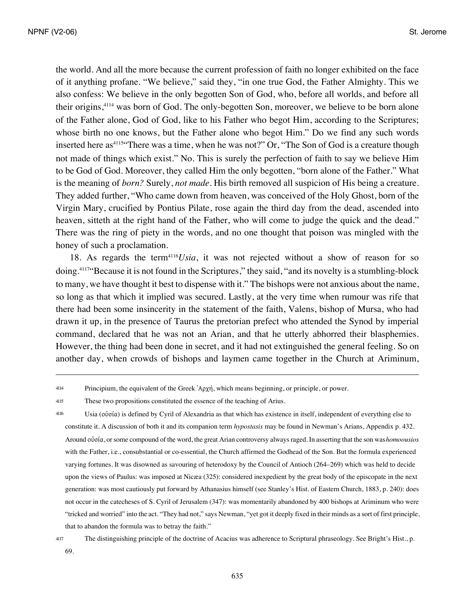the world. And all the more because the current profession of faith no longer exhibited on the face of it anything profane. "We believe," said they, "in one true God, the Father Almighty. This we also confess: We believe in the only begotten Son of God, who, before all worlds, and before all their origins,4114 was born of God. The only-begotten Son, moreover, we believe to be born alone of the Father alone, God of God, like to his Father who begot Him, according to the Scriptures; whose birth no one knows, but the Father alone who begot Him." Do we find any such words inserted here as<sup>4115"</sup>There was a time, when he was not?" Or, "The Son of God is a creature though not made of things which exist." No. This is surely the perfection of faith to say we believe Him to be God of God. Moreover, they called Him the only begotten, "born alone of the Father." What is the meaning of *born?* Surely, *not made*. His birth removed all suspicion of His being a creature. They added further, "Who came down from heaven, was conceived of the Holy Ghost, born of the Virgin Mary, crucified by Pontius Pilate, rose again the third day from the dead, ascended into heaven, sitteth at the right hand of the Father, who will come to judge the quick and the dead." There was the ring of piety in the words, and no one thought that poison was mingled with the honey of such a proclamation.

18. As regards the term4116*Usia*, it was not rejected without a show of reason for so doing.4117"Because it is not found in the Scriptures," they said, "and its novelty is a stumbling-block to many, we have thought it best to dispense with it." The bishops were not anxious about the name, so long as that which it implied was secured. Lastly, at the very time when rumour was rife that there had been some insincerity in the statement of the faith, Valens, bishop of Mursa, who had drawn it up, in the presence of Taurus the pretorian prefect who attended the Synod by imperial command, declared that he was not an Arian, and that he utterly abhorred their blasphemies. However, the thing had been done in secret, and it had not extinguished the general feeling. So on another day, when crowds of bishops and laymen came together in the Church at Ariminum,

<sup>4116</sup> Usia (οὐσία) is defined by Cyril of Alexandria as that which has existence in itself, independent of everything else to constitute it. A discussion of both it and its companion term *hypostasis* may be found in Newman's Arians, Appendix p. 432. Around οὐσία, or some compound of the word, the great Arian controversy always raged. In asserting that the son was *homoousios* with the Father, i.e., consubstantial or co-essential, the Church affirmed the Godhead of the Son. But the formula experienced varying fortunes. It was disowned as savouring of heterodoxy by the Council of Antioch (264–269) which was held to decide upon the views of Paulus: was imposed at Nicæa (325): considered inexpedient by the great body of the episcopate in the next generation: was most cautiously put forward by Athanasius himself (see Stanley's Hist. of Eastern Church, 1883, p. 240): does not occur in the catecheses of S. Cyril of Jerusalem (347): was momentarily abandoned by 400 bishops at Ariminum who were "tricked and worried" into the act. "They had not," says Newman, "yet got it deeply fixed in their minds as a sort of first principle, that to abandon the formula was to betray the faith."

<sup>4117</sup> The distinguishing principle of the doctrine of Acacius was adherence to Scriptural phraseology. See Bright's Hist., p. 69.

<sup>4114</sup> Principium, the equivalent of the Greek ᾽Αρχή, which means beginning, or principle, or power.

<sup>4115</sup> These two propositions constituted the essence of the teaching of Arius.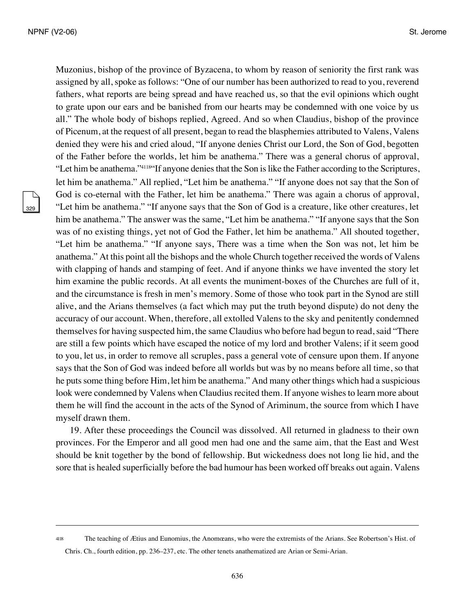Muzonius, bishop of the province of Byzacena, to whom by reason of seniority the first rank was assigned by all, spoke as follows: "One of our number has been authorized to read to you, reverend fathers, what reports are being spread and have reached us, so that the evil opinions which ought to grate upon our ears and be banished from our hearts may be condemned with one voice by us all." The whole body of bishops replied, Agreed. And so when Claudius, bishop of the province of Picenum, at the request of all present, began to read the blasphemies attributed to Valens, Valens denied they were his and cried aloud, "If anyone denies Christ our Lord, the Son of God, begotten of the Father before the worlds, let him be anathema." There was a general chorus of approval, "Let him be anathema."4118"If anyone denies that the Son is like the Father according to the Scriptures, let him be anathema." All replied, "Let him be anathema." "If anyone does not say that the Son of God is co-eternal with the Father, let him be anathema." There was again a chorus of approval, "Let him be anathema." "If anyone says that the Son of God is a creature, like other creatures, let him be anathema." The answer was the same, "Let him be anathema." "If anyone says that the Son was of no existing things, yet not of God the Father, let him be anathema." All shouted together, "Let him be anathema." "If anyone says, There was a time when the Son was not, let him be anathema." At this point all the bishops and the whole Church together received the words of Valens with clapping of hands and stamping of feet. And if anyone thinks we have invented the story let him examine the public records. At all events the muniment-boxes of the Churches are full of it, and the circumstance is fresh in men's memory. Some of those who took part in the Synod are still alive, and the Arians themselves (a fact which may put the truth beyond dispute) do not deny the accuracy of our account. When, therefore, all extolled Valens to the sky and penitently condemned themselves for having suspected him, the same Claudius who before had begun to read, said "There are still a few points which have escaped the notice of my lord and brother Valens; if it seem good to you, let us, in order to remove all scruples, pass a general vote of censure upon them. If anyone says that the Son of God was indeed before all worlds but was by no means before all time, so that he puts some thing before Him, let him be anathema." And many other things which had a suspicious look were condemned by Valens when Claudius recited them. If anyone wishes to learn more about them he will find the account in the acts of the Synod of Ariminum, the source from which I have myself drawn them.

19. After these proceedings the Council was dissolved. All returned in gladness to their own provinces. For the Emperor and all good men had one and the same aim, that the East and West should be knit together by the bond of fellowship. But wickedness does not long lie hid, and the sore that is healed superficially before the bad humour has been worked off breaks out again. Valens

<sup>4118</sup> The teaching of Ætius and Eunomius, the Anomœans, who were the extremists of the Arians. See Robertson's Hist. of Chris. Ch., fourth edition, pp. 236–237, etc. The other tenets anathematized are Arian or Semi-Arian.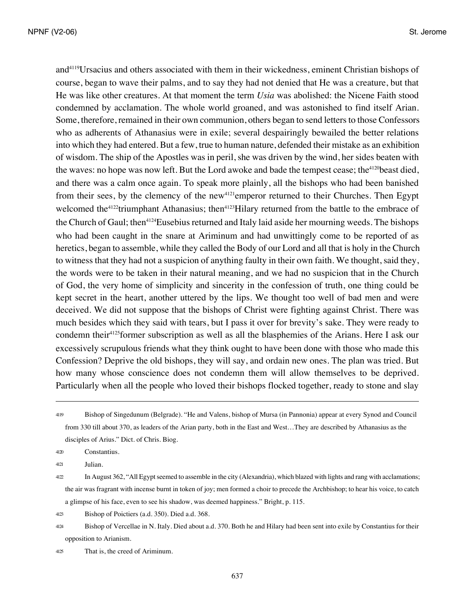and4119Ursacius and others associated with them in their wickedness, eminent Christian bishops of course, began to wave their palms, and to say they had not denied that He was a creature, but that He was like other creatures. At that moment the term *Usia* was abolished: the Nicene Faith stood condemned by acclamation. The whole world groaned, and was astonished to find itself Arian. Some, therefore, remained in their own communion, others began to send letters to those Confessors who as adherents of Athanasius were in exile; several despairingly bewailed the better relations into which they had entered. But a few, true to human nature, defended their mistake as an exhibition of wisdom. The ship of the Apostles was in peril, she was driven by the wind, her sides beaten with the waves: no hope was now left. But the Lord awoke and bade the tempest cease; the <sup>4120</sup>beast died, and there was a calm once again. To speak more plainly, all the bishops who had been banished from their sees, by the clemency of the new<sup>4121</sup>emperor returned to their Churches. Then Egypt welcomed the<sup>4122</sup>triumphant Athanasius; then<sup>4123</sup>Hilary returned from the battle to the embrace of the Church of Gaul; then<sup>4124</sup>Eusebius returned and Italy laid aside her mourning weeds. The bishops who had been caught in the snare at Ariminum and had unwittingly come to be reported of as heretics, began to assemble, while they called the Body of our Lord and all that is holy in the Church to witness that they had not a suspicion of anything faulty in their own faith. We thought, said they, the words were to be taken in their natural meaning, and we had no suspicion that in the Church of God, the very home of simplicity and sincerity in the confession of truth, one thing could be kept secret in the heart, another uttered by the lips. We thought too well of bad men and were deceived. We did not suppose that the bishops of Christ were fighting against Christ. There was much besides which they said with tears, but I pass it over for brevity's sake. They were ready to condemn their4125former subscription as well as all the blasphemies of the Arians. Here I ask our excessively scrupulous friends what they think ought to have been done with those who made this Confession? Deprive the old bishops, they will say, and ordain new ones. The plan was tried. But how many whose conscience does not condemn them will allow themselves to be deprived. Particularly when all the people who loved their bishops flocked together, ready to stone and slay

4120 Constantius.

4121 Julian.

4122 In August 362, "All Egypt seemed to assemble in the city (Alexandria), which blazed with lights and rang with acclamations; the air was fragrant with incense burnt in token of joy; men formed a choir to precede the Archbishop; to hear his voice, to catch a glimpse of his face, even to see his shadow, was deemed happiness." Bright, p. 115.

4123 Bishop of Poictiers (a.d. 350). Died a.d. 368.

<sup>4119</sup> Bishop of Singedunum (Belgrade). "He and Valens, bishop of Mursa (in Pannonia) appear at every Synod and Council from 330 till about 370, as leaders of the Arian party, both in the East and West…They are described by Athanasius as the disciples of Arius." Dict. of Chris. Biog.

<sup>4124</sup> Bishop of Vercellae in N. Italy. Died about a.d. 370. Both he and Hilary had been sent into exile by Constantius for their opposition to Arianism.

<sup>4125</sup> That is, the creed of Ariminum.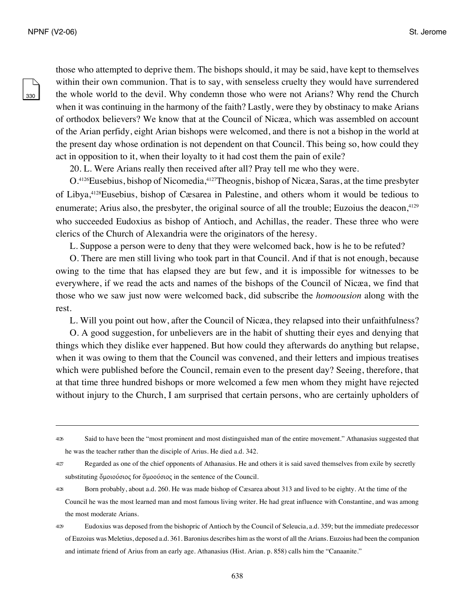those who attempted to deprive them. The bishops should, it may be said, have kept to themselves within their own communion. That is to say, with senseless cruelty they would have surrendered the whole world to the devil. Why condemn those who were not Arians? Why rend the Church when it was continuing in the harmony of the faith? Lastly, were they by obstinacy to make Arians of orthodox believers? We know that at the Council of Nicæa, which was assembled on account of the Arian perfidy, eight Arian bishops were welcomed, and there is not a bishop in the world at the present day whose ordination is not dependent on that Council. This being so, how could they act in opposition to it, when their loyalty to it had cost them the pain of exile?

20. L. Were Arians really then received after all? Pray tell me who they were.

O.4126Eusebius, bishop of Nicomedia,4127Theognis, bishop of Nicæa, Saras, at the time presbyter of Libya,4128Eusebius, bishop of Cæsarea in Palestine, and others whom it would be tedious to enumerate; Arius also, the presbyter, the original source of all the trouble; Euzoius the deacon, $4^{129}$ who succeeded Eudoxius as bishop of Antioch, and Achillas, the reader. These three who were clerics of the Church of Alexandria were the originators of the heresy.

L. Suppose a person were to deny that they were welcomed back, how is he to be refuted?

O. There are men still living who took part in that Council. And if that is not enough, because owing to the time that has elapsed they are but few, and it is impossible for witnesses to be everywhere, if we read the acts and names of the bishops of the Council of Nicæa, we find that those who we saw just now were welcomed back, did subscribe the *homoousion* along with the rest.

L. Will you point out how, after the Council of Nicæa, they relapsed into their unfaithfulness?

O. A good suggestion, for unbelievers are in the habit of shutting their eyes and denying that things which they dislike ever happened. But how could they afterwards do anything but relapse, when it was owing to them that the Council was convened, and their letters and impious treatises which were published before the Council, remain even to the present day? Seeing, therefore, that at that time three hundred bishops or more welcomed a few men whom they might have rejected without injury to the Church, I am surprised that certain persons, who are certainly upholders of

<sup>4126</sup> Said to have been the "most prominent and most distinguished man of the entire movement." Athanasius suggested that he was the teacher rather than the disciple of Arius. He died a.d. 342.

<sup>4127</sup> Regarded as one of the chief opponents of Athanasius. He and others it is said saved themselves from exile by secretly substituting ὄμοιούσιος for ὅμοούσιος in the sentence of the Council.

<sup>4128</sup> Born probably, about a.d. 260. He was made bishop of Cæsarea about 313 and lived to be eighty. At the time of the Council he was the most learned man and most famous living writer. He had great influence with Constantine, and was among the most moderate Arians.

<sup>4129</sup> Eudoxius was deposed from the bishopric of Antioch by the Council of Seleucia, a.d. 359; but the immediate predecessor of Euzoius was Meletius, deposed a.d. 361. Baronius describes him as the worst of all the Arians. Euzoius had been the companion and intimate friend of Arius from an early age. Athanasius (Hist. Arian. p. 858) calls him the "Canaanite."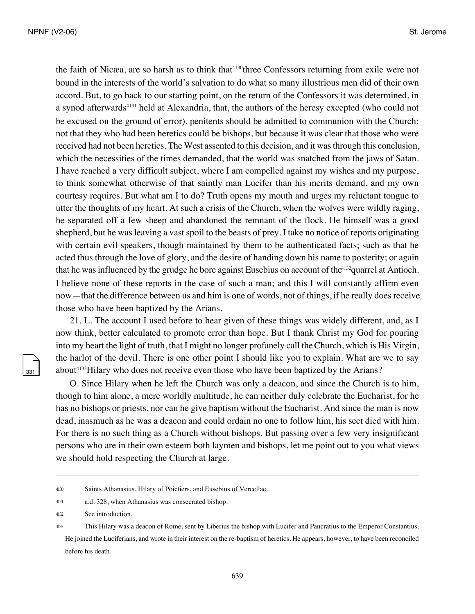the faith of Nicæa, are so harsh as to think that<sup>4130</sup>three Confessors returning from exile were not bound in the interests of the world's salvation to do what so many illustrious men did of their own accord. But, to go back to our starting point, on the return of the Confessors it was determined, in a synod afterwards<sup>4131</sup> held at Alexandria, that, the authors of the heresy excepted (who could not be excused on the ground of error), penitents should be admitted to communion with the Church: not that they who had been heretics could be bishops, but because it was clear that those who were received had not been heretics. The West assented to this decision, and it was through this conclusion, which the necessities of the times demanded, that the world was snatched from the jaws of Satan. I have reached a very difficult subject, where I am compelled against my wishes and my purpose, to think somewhat otherwise of that saintly man Lucifer than his merits demand, and my own courtesy requires. But what am I to do? Truth opens my mouth and urges my reluctant tongue to utter the thoughts of my heart. At such a crisis of the Church, when the wolves were wildly raging, he separated off a few sheep and abandoned the remnant of the flock. He himself was a good shepherd, but he was leaving a vast spoil to the beasts of prey. I take no notice of reports originating with certain evil speakers, though maintained by them to be authenticated facts; such as that he acted thus through the love of glory, and the desire of handing down his name to posterity; or again that he was influenced by the grudge he bore against Eusebius on account of the  $4^{132}$  quarrel at Antioch. I believe none of these reports in the case of such a man; and this I will constantly affirm even now—that the difference between us and him is one of words, not of things, if he really does receive those who have been baptized by the Arians.

21. L. The account I used before to hear given of these things was widely different, and, as I now think, better calculated to promote error than hope. But I thank Christ my God for pouring into my heart the light of truth, that I might no longer profanely call the Church, which is His Virgin, the harlot of the devil. There is one other point I should like you to explain. What are we to say about<sup>4133</sup>Hilary who does not receive even those who have been baptized by the Arians?

O. Since Hilary when he left the Church was only a deacon, and since the Church is to him, though to him alone, a mere worldly multitude, he can neither duly celebrate the Eucharist, for he has no bishops or priests, nor can he give baptism without the Eucharist. And since the man is now dead, inasmuch as he was a deacon and could ordain no one to follow him, his sect died with him. For there is no such thing as a Church without bishops. But passing over a few very insignificant persons who are in their own esteem both laymen and bishops, let me point out to you what views we should hold respecting the Church at large.

He joined the Luciferians, and wrote in their interest on the re-baptism of heretics. He appears, however, to have been reconciled before his death.

<sup>4130</sup> Saints Athanasius, Hilary of Poictiers, and Eusebius of Vercellae.

<sup>4131</sup> a.d. 328, when Athanasius was consecrated bishop.

<sup>4132</sup> See introduction.

<sup>4133</sup> This Hilary was a deacon of Rome, sent by Liberius the bishop with Lucifer and Pancratius to the Emperor Constantius.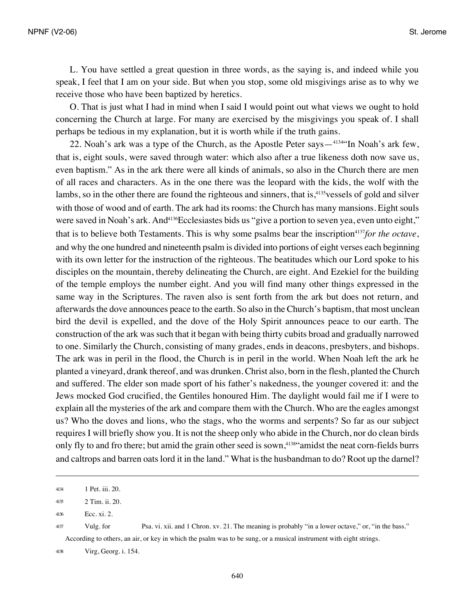L. You have settled a great question in three words, as the saying is, and indeed while you speak, I feel that I am on your side. But when you stop, some old misgivings arise as to why we receive those who have been baptized by heretics.

O. That is just what I had in mind when I said I would point out what views we ought to hold concerning the Church at large. For many are exercised by the misgivings you speak of. I shall perhaps be tedious in my explanation, but it is worth while if the truth gains.

22. Noah's ark was a type of the Church, as the Apostle Peter says—4134"In Noah's ark few, that is, eight souls, were saved through water: which also after a true likeness doth now save us, even baptism." As in the ark there were all kinds of animals, so also in the Church there are men of all races and characters. As in the one there was the leopard with the kids, the wolf with the lambs, so in the other there are found the righteous and sinners, that is,<sup>4135</sup>vessels of gold and silver with those of wood and of earth. The ark had its rooms: the Church has many mansions. Eight souls were saved in Noah's ark. And<sup>4136</sup>Ecclesiastes bids us "give a portion to seven yea, even unto eight," that is to believe both Testaments. This is why some psalms bear the inscription4137*for the octave*, and why the one hundred and nineteenth psalm is divided into portions of eight verses each beginning with its own letter for the instruction of the righteous. The beatitudes which our Lord spoke to his disciples on the mountain, thereby delineating the Church, are eight. And Ezekiel for the building of the temple employs the number eight. And you will find many other things expressed in the same way in the Scriptures. The raven also is sent forth from the ark but does not return, and afterwards the dove announces peace to the earth. So also in the Church's baptism, that most unclean bird the devil is expelled, and the dove of the Holy Spirit announces peace to our earth. The construction of the ark was such that it began with being thirty cubits broad and gradually narrowed to one. Similarly the Church, consisting of many grades, ends in deacons, presbyters, and bishops. The ark was in peril in the flood, the Church is in peril in the world. When Noah left the ark he planted a vineyard, drank thereof, and was drunken. Christ also, born in the flesh, planted the Church and suffered. The elder son made sport of his father's nakedness, the younger covered it: and the Jews mocked God crucified, the Gentiles honoured Him. The daylight would fail me if I were to explain all the mysteries of the ark and compare them with the Church. Who are the eagles amongst us? Who the doves and lions, who the stags, who the worms and serpents? So far as our subject requires I will briefly show you. It is not the sheep only who abide in the Church, nor do clean birds only fly to and fro there; but amid the grain other seed is sown,<sup>4138"</sup> amidst the neat corn-fields burrs and caltrops and barren oats lord it in the land." What is the husbandman to do? Root up the darnel?

<sup>4137</sup> Vulg. for Psa. vi. xii. and 1 Chron. xv. 21. The meaning is probably "in a lower octave," or, "in the bass." According to others, an air, or key in which the psalm was to be sung, or a musical instrument with eight strings.

<sup>4138</sup> Virg, Georg. i. 154.

<sup>4134</sup> [1 Pet. iii. 20.](http://www.ccel.org/ccel/bible/asv.iPet.3.html#iPet.3.20)

<sup>4135</sup> [2 Tim. ii. 20.](http://www.ccel.org/ccel/bible/asv.iiTim.2.html#iiTim.2.20)

<sup>4136</sup> [Ecc. xi. 2](http://www.ccel.org/ccel/bible/asv.Eccl.11.html#Eccl.11.2).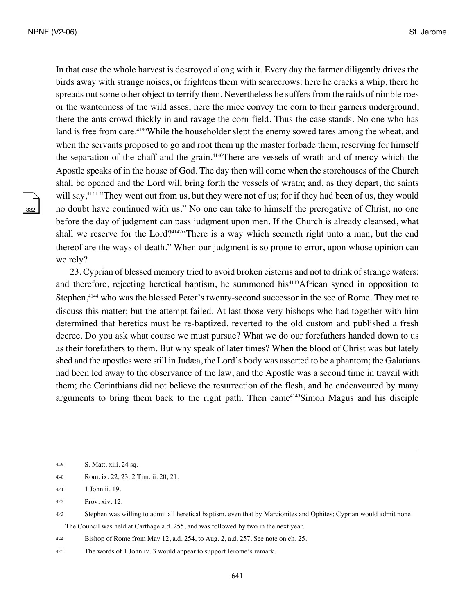In that case the whole harvest is destroyed along with it. Every day the farmer diligently drives the birds away with strange noises, or frightens them with scarecrows: here he cracks a whip, there he spreads out some other object to terrify them. Nevertheless he suffers from the raids of nimble roes or the wantonness of the wild asses; here the mice convey the corn to their garners underground, there the ants crowd thickly in and ravage the corn-field. Thus the case stands. No one who has land is free from care.<sup>4139</sup>While the householder slept the enemy sowed tares among the wheat, and when the servants proposed to go and root them up the master forbade them, reserving for himself the separation of the chaff and the grain.<sup>4140</sup>There are vessels of wrath and of mercy which the Apostle speaks of in the house of God. The day then will come when the storehouses of the Church shall be opened and the Lord will bring forth the vessels of wrath; and, as they depart, the saints will say,<sup>4141</sup> "They went out from us, but they were not of us; for if they had been of us, they would no doubt have continued with us." No one can take to himself the prerogative of Christ, no one before the day of judgment can pass judgment upon men. If the Church is already cleansed, what shall we reserve for the Lord?<sup>4142"</sup>There is a way which seemeth right unto a man, but the end thereof are the ways of death." When our judgment is so prone to error, upon whose opinion can we rely?

23. Cyprian of blessed memory tried to avoid broken cisterns and not to drink of strange waters: and therefore, rejecting heretical baptism, he summoned his<sup>4143</sup>African synod in opposition to Stephen,<sup>4144</sup> who was the blessed Peter's twenty-second successor in the see of Rome. They met to discuss this matter; but the attempt failed. At last those very bishops who had together with him determined that heretics must be re-baptized, reverted to the old custom and published a fresh decree. Do you ask what course we must pursue? What we do our forefathers handed down to us as their forefathers to them. But why speak of later times? When the blood of Christ was but lately shed and the apostles were still in Judæa, the Lord's body was asserted to be a phantom; the Galatians had been led away to the observance of the law, and the Apostle was a second time in travail with them; the Corinthians did not believe the resurrection of the flesh, and he endeavoured by many arguments to bring them back to the right path. Then came<sup>4145</sup>Simon Magus and his disciple

<sup>4139</sup> S. [Matt. xiii. 24](http://www.ccel.org/ccel/bible/asv.Matt.13.html#Matt.13.24) sq.

<sup>4140</sup> [Rom. ix. 22, 23; 2 Tim. ii. 20, 21](http://www.ccel.org/ccel/bible/asv.Rom.9.html#Rom.9.22).

<sup>4141</sup> [1 John ii. 19.](http://www.ccel.org/ccel/bible/asv.iJohn.2.html#iJohn.2.19)

<sup>4142</sup> [Prov. xiv. 12.](http://www.ccel.org/ccel/bible/asv.Prov.14.html#Prov.14.12)

<sup>4143</sup> Stephen was willing to admit all heretical baptism, even that by Marcionites and Ophites; Cyprian would admit none. The Council was held at Carthage a.d. 255, and was followed by two in the next year.

<sup>4144</sup> Bishop of Rome from May 12, a.d. 254, to Aug. 2, a.d. 257. See note on ch. 25.

<sup>4145</sup> The words of [1 John iv. 3](http://www.ccel.org/ccel/bible/asv.iJohn.4.html#iJohn.4.3) would appear to support Jerome's remark.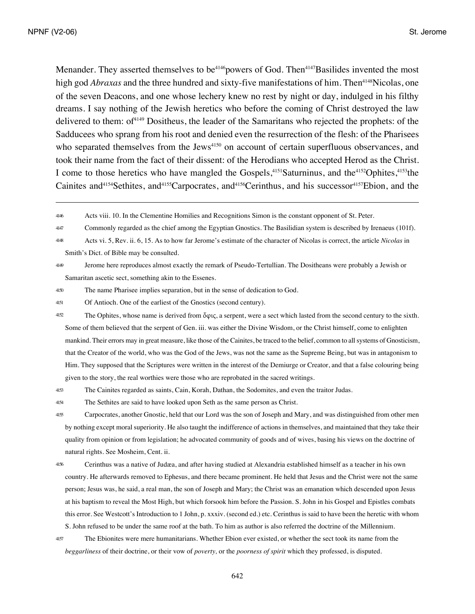Menander. They asserted themselves to be<sup>4146</sup>powers of God. Then<sup>4147</sup>Basilides invented the most high god *Abraxas* and the three hundred and sixty-five manifestations of him. Then<sup>4148</sup>Nicolas, one of the seven Deacons, and one whose lechery knew no rest by night or day, indulged in his filthy dreams. I say nothing of the Jewish heretics who before the coming of Christ destroyed the law delivered to them: of<sup>4149</sup> Dositheus, the leader of the Samaritans who rejected the prophets: of the Sadducees who sprang from his root and denied even the resurrection of the flesh: of the Pharisees who separated themselves from the Jews<sup>4150</sup> on account of certain superfluous observances, and took their name from the fact of their dissent: of the Herodians who accepted Herod as the Christ. I come to those heretics who have mangled the Gospels,<sup>4151</sup>Saturninus, and the<sup>4152</sup>Ophites,<sup>4153</sup>the Cainites and<sup>4154</sup>Sethites, and<sup>4155</sup>Carpocrates, and<sup>4156</sup>Cerinthus, and his successor<sup>4157</sup>Ebion, and the

4147 Commonly regarded as the chief among the Egyptian Gnostics. The Basilidian system is described by Irenaeus (101f).

4149 Jerome here reproduces almost exactly the remark of Pseudo-Tertullian. The Dositheans were probably a Jewish or Samaritan ascetic sect, something akin to the Essenes.

4150 The name Pharisee implies separation, but in the sense of dedication to God.

4151 Of Antioch. One of the earliest of the Gnostics (second century).

<sup>4152</sup> The Ophites, whose name is derived from ὄφις, a serpent, were a sect which lasted from the second century to the sixth. Some of them believed that the serpent of [Gen. iii.](http://www.ccel.org/ccel/bible/asv.Gen..html#Gen..) was either the Divine Wisdom, or the Christ himself, come to enlighten mankind. Their errors may in great measure, like those of the Cainites, be traced to the belief, common to all systems of Gnosticism, that the Creator of the world, who was the God of the Jews, was not the same as the Supreme Being, but was in antagonism to Him. They supposed that the Scriptures were written in the interest of the Demiurge or Creator, and that a false colouring being given to the story, the real worthies were those who are reprobated in the sacred writings.

4153 The Cainites regarded as saints, Cain, Korah, Dathan, the Sodomites, and even the traitor Judas.

4154 The Sethites are said to have looked upon Seth as the same person as Christ.

<sup>4155</sup> Carpocrates, another Gnostic, held that our Lord was the son of Joseph and Mary, and was distinguished from other men by nothing except moral superiority. He also taught the indifference of actions in themselves, and maintained that they take their quality from opinion or from legislation; he advocated community of goods and of wives, basing his views on the doctrine of natural rights. See Mosheim, Cent. ii.

- 4156 Cerinthus was a native of Judæa, and after having studied at Alexandria established himself as a teacher in his own country. He afterwards removed to Ephesus, and there became prominent. He held that Jesus and the Christ were not the same person; Jesus was, he said, a real man, the son of Joseph and Mary; the Christ was an emanation which descended upon Jesus at his baptism to reveal the Most High, but which forsook him before the Passion. S. John in his Gospel and Epistles combats this error. See Westcott's Introduction to 1 John, p. xxxiv. (second ed.) etc. Cerinthus is said to have been the heretic with whom S. John refused to be under the same roof at the bath. To him as author is also referred the doctrine of the Millennium.
- <sup>4157</sup> The Ebionites were mere humanitarians. Whether Ebion ever existed, or whether the sect took its name from the *beggarliness* of their doctrine, or their vow of *poverty,* or the *poorness of spirit* which they professed, is disputed.

<sup>4146</sup> [Acts viii. 10.](http://www.ccel.org/ccel/bible/asv.Acts.8.html#Acts.8.10) In the Clementine Homilies and Recognitions Simon is the constant opponent of St. Peter.

<sup>4148</sup> Acts vi. 5, Rev. ii. 6, 15. As to how far Jerome's estimate of the character of Nicolas is correct, the article *Nicolas* in Smith's Dict. of Bible may be consulted.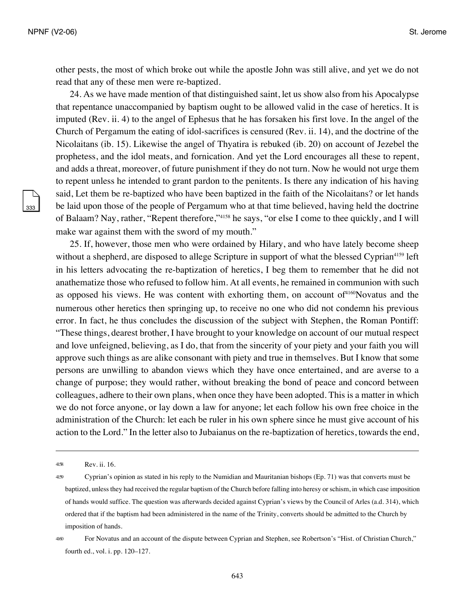other pests, the most of which broke out while the apostle John was still alive, and yet we do not read that any of these men were re-baptized.

24. As we have made mention of that distinguished saint, let us show also from his Apocalypse that repentance unaccompanied by baptism ought to be allowed valid in the case of heretics. It is imputed [\(Rev. ii. 4\)](http://www.ccel.org/ccel/bible/asv.Rev.2.html#Rev.2.4) to the angel of Ephesus that he has forsaken his first love. In the angel of the Church of Pergamum the eating of idol-sacrifices is censured [\(Rev. ii. 14](http://www.ccel.org/ccel/bible/asv.Rev.2.html#Rev.2.14)), and the doctrine of the Nicolaitans [\(ib. 15\)](http://www.ccel.org/ccel/bible/asv.Rev.2.html#Rev.2.15). Likewise the angel of Thyatira is rebuked ([ib. 20\)](http://www.ccel.org/ccel/bible/asv.Rev.2.html#Rev.2.20) on account of Jezebel the prophetess, and the idol meats, and fornication. And yet the Lord encourages all these to repent, and adds a threat, moreover, of future punishment if they do not turn. Now he would not urge them to repent unless he intended to grant pardon to the penitents. Is there any indication of his having said, Let them be re-baptized who have been baptized in the faith of the Nicolaitans? or let hands be laid upon those of the people of Pergamum who at that time believed, having held the doctrine of Balaam? Nay, rather, "Repent therefore,"4158 he says, "or else I come to thee quickly, and I will make war against them with the sword of my mouth."

25. If, however, those men who were ordained by Hilary, and who have lately become sheep without a shepherd, are disposed to allege Scripture in support of what the blessed Cyprian<sup>4159</sup> left in his letters advocating the re-baptization of heretics, I beg them to remember that he did not anathematize those who refused to follow him. At all events, he remained in communion with such as opposed his views. He was content with exhorting them, on account of <sup>4160</sup>Novatus and the numerous other heretics then springing up, to receive no one who did not condemn his previous error. In fact, he thus concludes the discussion of the subject with Stephen, the Roman Pontiff: "These things, dearest brother, I have brought to your knowledge on account of our mutual respect and love unfeigned, believing, as I do, that from the sincerity of your piety and your faith you will approve such things as are alike consonant with piety and true in themselves. But I know that some persons are unwilling to abandon views which they have once entertained, and are averse to a change of purpose; they would rather, without breaking the bond of peace and concord between colleagues, adhere to their own plans, when once they have been adopted. This is a matter in which we do not force anyone, or lay down a law for anyone; let each follow his own free choice in the administration of the Church: let each be ruler in his own sphere since he must give account of his action to the Lord." In the letter also to Jubaianus on the re-baptization of heretics, towards the end,

<sup>4158</sup> [Rev. ii. 16.](http://www.ccel.org/ccel/bible/asv.Rev.2.html#Rev.2.16)

<sup>4159</sup> Cyprian's opinion as stated in his reply to the Numidian and Mauritanian bishops [\(Ep. 71\)](http://www.ccel.org/ccel/bible/asv...html#..) was that converts must be baptized, unless they had received the regular baptism of the Church before falling into heresy or schism, in which case imposition of hands would suffice. The question was afterwards decided against Cyprian's views by the Council of Arles (a.d. 314), which ordered that if the baptism had been administered in the name of the Trinity, converts should be admitted to the Church by imposition of hands.

<sup>4160</sup> For Novatus and an account of the dispute between Cyprian and Stephen, see Robertson's "Hist. of Christian Church," fourth ed., vol. i. pp. 120–127.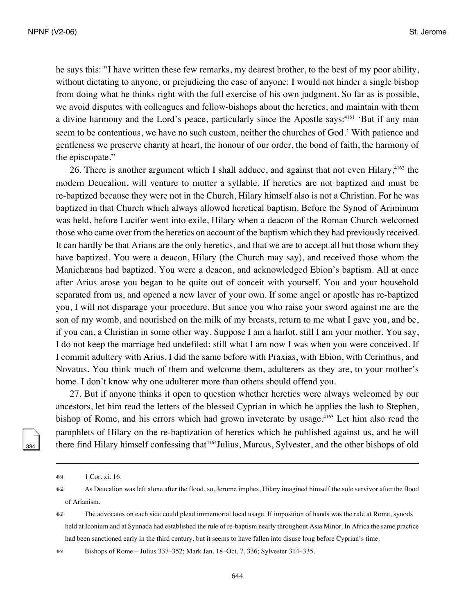he says this: "I have written these few remarks, my dearest brother, to the best of my poor ability, without dictating to anyone, or prejudicing the case of anyone: I would not hinder a single bishop from doing what he thinks right with the full exercise of his own judgment. So far as is possible, we avoid disputes with colleagues and fellow-bishops about the heretics, and maintain with them a divine harmony and the Lord's peace, particularly since the Apostle says:<sup>4161</sup> 'But if any man seem to be contentious, we have no such custom, neither the churches of God.' With patience and gentleness we preserve charity at heart, the honour of our order, the bond of faith, the harmony of the episcopate."

26. There is another argument which I shall adduce, and against that not even Hilary, $4162$  the modern Deucalion, will venture to mutter a syllable. If heretics are not baptized and must be re-baptized because they were not in the Church, Hilary himself also is not a Christian. For he was baptized in that Church which always allowed heretical baptism. Before the Synod of Ariminum was held, before Lucifer went into exile, Hilary when a deacon of the Roman Church welcomed those who came over from the heretics on account of the baptism which they had previously received. It can hardly be that Arians are the only heretics, and that we are to accept all but those whom they have baptized. You were a deacon, Hilary (the Church may say), and received those whom the Manichæans had baptized. You were a deacon, and acknowledged Ebion's baptism. All at once after Arius arose you began to be quite out of conceit with yourself. You and your household separated from us, and opened a new laver of your own. If some angel or apostle has re-baptized you, I will not disparage your procedure. But since you who raise your sword against me are the son of my womb, and nourished on the milk of my breasts, return to me what I gave you, and be, if you can, a Christian in some other way. Suppose I am a harlot, still I am your mother. You say, I do not keep the marriage bed undefiled: still what I am now I was when you were conceived. If I commit adultery with Arius, I did the same before with Praxias, with Ebion, with Cerinthus, and Novatus. You think much of them and welcome them, adulterers as they are, to your mother's home. I don't know why one adulterer more than others should offend you.

27. But if anyone thinks it open to question whether heretics were always welcomed by our ancestors, let him read the letters of the blessed Cyprian in which he applies the lash to Stephen, bishop of Rome, and his errors which had grown inveterate by usage.<sup>4163</sup> Let him also read the pamphlets of Hilary on the re-baptization of heretics which he published against us, and he will there find Hilary himself confessing that<sup>4164</sup>Julius, Marcus, Sylvester, and the other bishops of old

[334](http://www.ccel.org/ccel/schaff/npnf206/Page_334.html)

<sup>4164</sup> Bishops of Rome—Julius 337–352; Mark Jan. 18–Oct. 7, 336; Sylvester 314–335.

644

<sup>4161</sup> [1 Cor. xi. 16](http://www.ccel.org/ccel/bible/asv.iCor.11.html#iCor.11.16).

<sup>4162</sup> As Deucalion was left alone after the flood, so, Jerome implies, Hilary imagined himself the sole survivor after the flood of Arianism.

<sup>4163</sup> The advocates on each side could plead immemorial local usage. If imposition of hands was the rule at Rome, synods held at Iconium and at Synnada had established the rule of re-baptism nearly throughout Asia Minor. In Africa the same practice had been sanctioned early in the third century, but it seems to have fallen into disuse long before Cyprian's time.